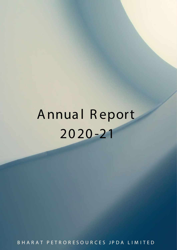# **Annua l R eport 20 20 -21**

BHARAT PETRORESOURCES JPDA LIMITED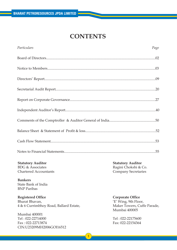# **CONTENTS**

| Particulars | Page |
|-------------|------|
|             |      |
|             |      |
|             |      |
|             |      |
|             |      |
|             |      |
|             |      |
|             |      |
|             |      |
|             |      |

## **Statutory Auditor**

BDG & Associates Chartered Accountants

**Bankers** State Bank of India BNP Paribas

**Registered Office** Bharat Bhavan, 4 & 6 Currimbhoy Road, Ballard Estate,

Mumbai 400001 Tel : 022-22714000 Fax : 022-22713874 CIN:U23209MH2006GOI16512 **Statutory Auditor** Ragini Chokshi & Co. Company Secretaries

## **Corporate Office**

'E' Wing, 9th Floor, Maker Towers, Cuffe Parade, Mumbai 400005

Tel : 022-22175600 Fax: 022-22154364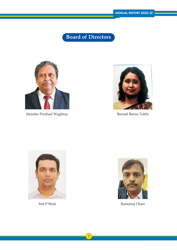**Board of Directors**



Jitender Pershad Waghray



Barnali Barua Tokhi





Atit P Shah Ramanuj Chari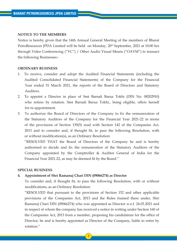## **NOTICE TO THE MEMBERS**

Notice is hereby given that the 14th Annual General Meeting of the members of Bharat PetroResources JPDA Limited will be held on Monday, 20<sup>th</sup> September, 2021 at 10:00 hrs through Video Conferencing ("VC") / Other Audio Visual Means ("OAVM") to transact the following Businesses:-

#### **ORDINARY BUSINESS**

- 1. To receive, consider and adopt the Audited Financial Statements (including the Audited Consolidated Financial Statements) of the Company for the Financial Year ended 31 March 2021, the reports of the Board of Directors and Statutory Auditors.
- 2. To appoint a Director in place of Smt Barnali Barua Tokhi (DIN No. 08202910) who retires by rotation. Smt Barnali Barua Tokhi., being eligible, offers herself for re-appointment.
- 3. To authorize the Board of Directors of the Company to fix the remuneration of the Statutory Auditors of the Company for the Financial Year 2021-22 in terms of the provisions of Section 139(5) read with Section 142 of the Companies Act, 2013 and to consider and, if thought fit, to pass the following Resolution, with or without modification(s), as an Ordinary Resolution:

 "RESOLVED THAT the Board of Directors of the Company be and is hereby authorised to decide and fix the remuneration of the Statutory Auditors of the Company appointed by the Comptroller & Auditor General of India for the Financial Year 2021-22, as may be deemed fit by the Board."

#### **SPECIAL BUSINESS**

#### **4. Appointment of Shri Ramanuj Chari DIN (09066274) as Director**

 To consider and, if thought fit, to pass the following Resolution, with or without modifications, as an Ordinary Resolution:

 "RESOLVED that pursuant to the provisions of Section 152 and other applicable provisions of the Companies Act, 2013 and the Rules framed there under, Shri Ramanuj Chari DIN (09066274) who was appointed as Director w.e.f. 24.03.2021 and in respect of whom the company has received a notice in writing under Section 160 of the Companies Act, 2013 from a member, proposing his candidature for the office of Director, be and is hereby appointed as Director of the Company, liable to retire by rotation."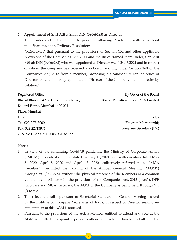## **5. Appointment of Shri Atit P Shah DIN (09066285) as Director**

 To consider and, if thought fit, to pass the following Resolution, with or without modifications, as an Ordinary Resolution:

 "RESOLVED that pursuant to the provisions of Section 152 and other applicable provisions of the Companies Act, 2013 and the Rules framed there under, Shri Atit P Shah DIN (09066285) who was appointed as Director w.e.f. 24.03.2021 and in respect of whom the company has received a notice in writing under Section 160 of the Companies Act, 2013 from a member, proposing his candidature for the office of Director, be and is hereby appointed as Director of the Company, liable to retire by rotation."

Registered Office:

Bharat Bhavan, 4 & 6 Currimbhoy Road, Ballard Estate, Mumbai - 400 001 Place: Mumbai Date<sup>.</sup> Tel: 022-22713000 Fax: 022-22713874 CIN No U23209MH2006GOI165279

By Order of the Board For Bharat PetroResources JPDA Limited

> $Sd$  /-(Shivram Mattaparthi) Company Secretary (I/c)

## **Notes:-**

- 1. In view of the continuing Covid-19 pandemic, the Ministry of Corporate Affairs ("MCA") has vide its circular dated January 13, 2021 read with circulars dated May 5, 2020, April 8, 2020 and April 13, 2020 (collectively referred to as "MCA Circulars") permitted the holding of the Annual General Meeting ("AGM") through VC / OAVM, without the physical presence of the Members at a common venue. In compliance with the provisions of the Companies Act, 2013 ("Act"), DPE Circulars and MCA Circulars, the AGM of the Company is being held through VC /OAVM.
- 2. The relevant details, pursuant to Secretarial Standard on General Meetings issued by the Institute of Company Secretaries of India, in respect of Director seeking re appointment at this AGM is annexed.
- 3. Pursuant to the provisions of the Act, a Member entitled to attend and vote at the AGM is entitled to appoint a proxy to attend and vote on his/her behalf and the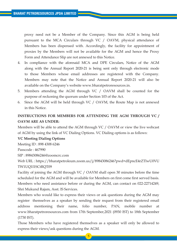proxy need not be a Member of the Company. Since this AGM is being held pursuant to the MCA Circulars through VC / OAVM, physical attendance of Members has been dispensed with. Accordingly, the facility for appointment of proxies by the Members will not be available for the AGM and hence the Proxy Form and Attendance Slip are not annexed to this Notice.

- 4. In compliance with the aforesaid MCA and DPE Circulars, Notice of the AGM along with the Annual Report 2020-21 is being sent only through electronic mode to those Members whose email addresses are registered with the Company. Members may note that the Notice and Annual Report 2020-21 will also be available on the Company's website www.bharatpetroresources.in.
- 5. Members attending the AGM through VC / OAVM shall be counted for the purpose of reckoning the quorum under Section 103 of the Act.
- 6. Since the AGM will be held through VC / OAVM, the Route Map is not annexed in this Notice.

# **INSTRUCTIONS FOR MEMBERS FOR ATTENDING THE AGM THROUGH VC / OAVM ARE AS UNDER:**

Members will be able to attend the AGM through VC / OAVM or view the live webcast of AGM by using the link of VC Dialing Options. VC Dialing options is as follows:

## **VC Meeting Dialing Options**

Meeting ID : 898 4308 6246

Passcode : 467990

SIP : 89843086246@zoomcrc.com

Web URL : https://bharatpetroleum.zoom.us/j/89843086246?pwd=dEpncE4rZTlwU0VU TW1UQ1l1SCtRQT09

Facility of joining the AGM through VC / OAVM shall open 30 minutes before the time scheduled for the AGM and will be available for Members on first come first served basis. Members who need assistance before or during the AGM, can contact on 022-22714249, Shri Mukund Rajam, Asst. IS Services.

Members who would like to express their views or ask questions during the AGM may register themselves as a speaker by sending their request from their registered email address mentioning their name, folio number, PAN, mobile number at www.bharatpetroresources.com from 17th September,2021 (0930 IST) to 18th September (1730 IST).

Those Members who have registered themselves as a speaker will only be allowed to express their views/ask questions during the AGM.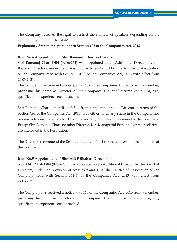The Company reserves the right to restrict the number of speakers depending on the availability of time for the AGM.

## **Explanatory Statements pursuant to Section 102 of the Companies Act, 2013**

## **Item No.4 Appointment of Shri Ramanuj Chari as Director**

Shri Ramanuj Chari DIN (09066274) was appointed as an Additional Director by the Board of Directors, under the provision of Articles 9 and 11 of the Articles of Association of the Company, read with Section 161(3) of the Companies Act, 2013 with effect from 24.03.2021.

The Company has received a notice,  $u/s$  160 of the Companies Act, 2013 from a member, proposing his name as Director of the Company. His brief resume containing age, qualification, experience etc is attached.

Shri Ramanuj Chari is not disqualified from being appointed as Director in terms of the Section 164 of the Companies Act, 2013. He neither holds any share in the Company nor has any relationship with other Directors and Key Managerial Personnel of the Company. Except Shri Ramanuj Chari, no other Director, Key Managerial Personnel or their relatives are interested in the Resolution.

The Directors recommend the Resolution at Item No 4 for the approval of the members of the Company.

## **Item No.5 Appointment of Shri Atit P Shah as Director**

Shri Atit P Shah DIN (09066285) was appointed as an Additional Director by the Board of Directors, under the provision of Articles 9 and 11 of the Articles of Association of the Company, read with Section 161(3) of the Companies Act, 2013 with effect from 24.03.2021.

The Company has received a notice,  $u/s$  160 of the Companies Act, 2013 from a member, proposing his name as Director of the Company. His brief resume containing age, qualification, experience etc is attached.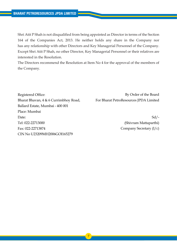Shri Atit P Shah is not disqualified from being appointed as Director in terms of the Section 164 of the Companies Act, 2013. He neither holds any share in the Company nor has any relationship with other Directors and Key Managerial Personnel of the Company. Except Shri Atit P Shah, no other Director, Key Managerial Personnel or their relatives are interested in the Resolution.

The Directors recommend the Resolution at Item No 4 for the approval of the members of the Company.

Registered Office: Bharat Bhavan, 4 & 6 Currimbhoy Road, Ballard Estate, Mumbai - 400 001 Place: Mumbai Date: Tel: 022-22713000 Fax: 022-22713874 CIN No U23209MH2006GOI165279

By Order of the Board For Bharat PetroResources JPDA Limited

> Sd/- (Shivram Mattaparthi) Company Secretary (I/c)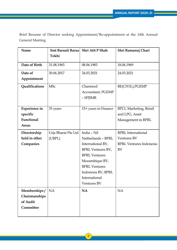Brief Resume of Director seeking Appointment/Re-appointment at the 14th Annual General Meeting

| Name                 | Smt Barnali Barua   | Shri Atit P Shah         | Shri Ramanuj Chari             |
|----------------------|---------------------|--------------------------|--------------------------------|
|                      | Tokhi               |                          |                                |
| Date of Birth        | 31.08.1965          | 08.06.1983               | 18.06.1969                     |
|                      |                     |                          |                                |
| Date of              | 30.06.2017          | 24.03.2021               | 24.03.2021                     |
| Appointment          |                     |                          |                                |
| Qualifications       | <b>MSc</b>          | Chartered                | BE(CIVIL), PGEMP               |
|                      |                     | Accountant, PGEMP        |                                |
|                      |                     | - SPJIMR                 |                                |
|                      |                     |                          |                                |
| <b>Experience in</b> | 33 years            | 15+ years in Finance     | <b>BPCL Marketing, Retail</b>  |
| specific             |                     |                          | and LPG, Asset                 |
| Functional           |                     |                          | Management in BPRL             |
| <b>Areas</b>         |                     |                          |                                |
| Directorship         | Urja Bharat Pte Ltd | India - Nil              | <b>BPRL</b> International      |
| held in other        | (UBPL)              | Netherlands - BPRL       | <b>Ventures BV</b>             |
| Companies            |                     | International BV,        | <b>BPRL Ventures Indonesia</b> |
|                      |                     | <b>BPRL Ventures BV,</b> | BV                             |
|                      |                     | <b>BPRL Ventures</b>     |                                |
|                      |                     | Mozambique BV,           |                                |
|                      |                     | <b>BPRL Ventures</b>     |                                |
|                      |                     | Indonesia BV, BPRL       |                                |
|                      |                     | International            |                                |
|                      |                     | <b>Ventures BV</b>       |                                |
| Memberships/         | <b>NA</b>           | <b>NA</b>                | <b>NA</b>                      |
| Chairmanships        |                     |                          |                                |
| of Audit             |                     |                          |                                |
| Committee            |                     |                          |                                |
|                      |                     |                          |                                |

8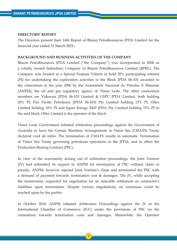#### **DIRECTORS' REPORT**

The Directors present their 14th Report of Bharat PetroResources JPDA Limited for the financial year ended 31 March 2021:-

## **BACKGROUND AND BUSINESS ACTIVITIES OF THE COMPANY**

Bharat PetroResources JPDA Limited ("the Company") was incorporated in 2006 as a wholly owned Subsidiary Company of Bharat PetroResources Limited (BPRL). The Company was formed as a Special Purpose Vehicle to hold 20% participating interest (PI) for undertaking the exploration activities in the Block JPDA 06-103 awarded to the consortium in the year 2006 by the Autoridade Nacional do Petroleo E Minerais (ANPM), the oil and gas regulatory agency of Timor Leste. The other consortium members are Videocon JPDA 06-103 Limited & GSPC JPDA Limited, both holding 20% PI, Pan Pacific Petroleum (JPDA 06-103) Pty Limited holding 15% PI, Oilex Limited holding 10% PI and Japan Energy E&P JPDA Pty Limited holding 15% PI in the said block. Oilex Limited is the operator of the block.

Timor Leste Government initiated arbitration proceedings against the Government of Australia to have the Certain Maritime Arrangements in Timor Sea (CMATS) Treaty declared void ab initio. The termination of CMATS results in automatic Termination of Timor Sea Treaty governing petroleum operations in the JPDA, and in effect the Production Sharing Contract (PSC).

In view of the uncertainty arising out of arbitration proceedings, the Joint Venture (JV) had submitted its request to ANPM for termination of PSC without claim or penalty. ANPM, however rejected Joint Venture's claim and terminated the PSC with a demand of payment towards termination cost & damages. The JV, while accepting the termination, requested for negotiation for an amicable settlement on contractor's liabilities upon termination. Despite various negotiations, no consensus could be reached upon by the parties.

In October 2018, ANPM initiated Arbitration Proceedings against the JV in the International Chamber of Commerce (ICC) under the provisions of PSC on the consortium towards termination costs and damages. Meanwhile, the Operator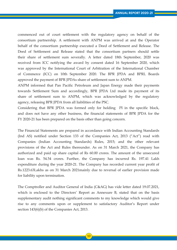commenced out of court settlement with the regulatory agency on behalf of the consortium partnership. A settlement with ANPM was arrived at and the Operator behalf of the consortium partnership executed a Deed of Settlement and Release. The Deed of Settlement and Release stated that the consortium partners should settle their share of settlement sum severally. A letter dated 18th September, 2020 was received from ICC notifying the award by consent dated 16 September 2020, which was approved by the International Court of Arbitration of the International Chamber of Commerce (ICC) on 10th September 2020. The BPR JPDA and BPRL Boards approved the payment of BPR JPDAs share of settlement sum to ANPM.

ANPM informed that Pan Pacific Petroleum and Japan Energy made their payments towards Settlement Sum and accordingly, BPR JPDA Ltd made its payment of its share of settlement sum to ANPM, which was acknowledged by the regulatory agency, releasing BPR JPDA from all liabilities of the PSC.

Considering that BPR JPDA was formed only for holding PI in the specific block, and does not have any other business, the financial statements of BPR JPDA for the FY 2020-21 has been prepared on the basis other than going concern.

The Financial Statements are prepared in accordance with Indian Accounting Standards (Ind AS) notified under Section 133 of the Companies Act, 2013 ("Act") read with Companies (Indian Accounting Standards) Rules, 2015; and the other relevant provisions of the Act and Rules thereunder. As on 31 March 2021, the Company has authorized and paid up share capital of Rs 60.00 crores. The amount of the unsecured loan was Rs. 54.54 crores. Further, the Company has incurred Rs. 197.41 Lakh expenditure during the year 2020-21. The Company has recorded current year profit of Rs.1223.63Lakhs as on 31 March 2021mainly due to reversal of earlier provision made for liability upon termination.

The Comptroller and Auditor General of India (C&AG) has vide letter dated 19.07.2021, which is enclosed to the Directors' Report as Annexure B, stated that on the basis supplementary audit nothing significant comments to my knowledge which would give rise to any comments upon or supplement to satisfactory Auditor's Report under section 143(6)(b) of the Companies Act, 2013.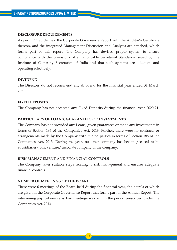## **DISCLOSURE REQUIREMENTS**

As per DPE Guidelines, the Corporate Governance Report with the Auditor's Certificate thereon, and the integrated Management Discussion and Analysis are attached, which forms part of this report. The Company has devised proper system to ensure compliance with the provisions of all applicable Secretarial Standards issued by the Institute of Company Secretaries of India and that such systems are adequate and operating effectively.

#### **DIVIDEND**

The Directors do not recommend any dividend for the financial year ended 31 March 2021.

#### **FIXED DEPOSITS**

The Company has not accepted any Fixed Deposits during the financial year 2020-21.

## **PARTICULARS OF LOANS, GUARANTEES OR INVESTMENTS**

The Company has not provided any Loans, given guarantees or made any investments in terms of Section 186 of the Companies Act, 2013. Further, there were no contracts or arrangements made by the Company with related parties in terms of Section 188 of the Companies Act, 2013. During the year, no other company has become/ceased to be subsidiaries/joint venture/ associate company of the company.

## **RISK MANAGEMENT AND FINANCIAL CONTROLS**

The Company takes suitable steps relating to risk management and ensures adequate financial controls.

## **NUMBER OF MEETINGS OF THE BOARD**

There were 6 meetings of the Board held during the financial year, the details of which are given in the Corporate Governance Report that forms part of the Annual Report. The intervening gap between any two meetings was within the period prescribed under the Companies Act, 2013.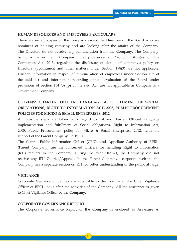## **HUMAN RESOURCES AND EMPLOYEES PARTICULARS**

There are no employees in the Company except the Directors on the Board who are nominees of holding company and are looking after the affairs of the Company. The Directors do not receive any remuneration from the Company. The Company, being a Government Company, the provisions of Section 134(3)(e) of the Companies Act, 2013, regarding the disclosure of details of company's policy on Directors appointment and other matters under Section 178(3) are not applicable. Further, information in respect of remuneration of employees under Section 197 of the said act and information regarding annual evaluation of the Board under provisions of Section 134 (3) (p) of the said Act, are not applicable as Company is a Government Company.

# **CITIZENS' CHARTER, OFFICIAL LANGUAGE & FULFILLMENT OF SOCIAL OBLIGATIONS, RIGHT TO INFORMATION ACT, 2005, PUBLIC PROCUREMENT POLICIES FOR MICRO & SMALL ENTERPRISES, 2012**

All possible steps are taken with regard to Citizen Charter, Official Language implementation and fulfillment of Social obligations, Right to Information Act, 2005, Public Procurement policy for Micro & Small Enterprises, 2012, with the support of the Parent Company, i.e. BPRL.

The Central Public Information Officer (CPIO) and Appellate Authority of BPRL, (Parent Company) are the concerned Officers for handling Right to Information (RTI) matters in the Company. During the year 2020-21, the Company did not receive any RTI Queries/Appeals. In the Parent Company's corporate website, the Company has a separate section on RTI for better understanding of the public at large.

## **VIGILANCE**

Corporate Vigilance guidelines are applicable to the Company. The Chief Vigilance Officer of BPCL looks after the activities of the Company. All the assistance is given to Chief Vigilance Officer by the Company.

#### **CORPORATE GOVERNANCE REPORT**

The Corporate Governance Report of the Company is enclosed as Annexure A.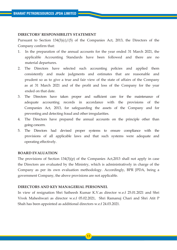## **DIRECTORS' RESPONSIBILITY STATEMENT**

Pursuant to Section  $134(3)(c)/(5)$  of the Companies Act, 2013, the Directors of the Company confirm that:

- 1.In the preparation of the annual accounts for the year ended 31 March 2021, the applicable Accounting Standards have been followed and there are no material departures.
- 2. The Directors have selected such accounting policies and applied them consistently and made judgments and estimates that are reasonable and prudent so as to give a true and fair view of the state of affairs of the Company as at 31 March 2021 and of the profit and loss of the Company for the year ended on that date.
- 3. The Directors have taken proper and sufficient care for the maintenance of adequate accounting records in accordance with the provisions of the Companies Act, 2013, for safeguarding the assets of the Company and for preventing and detecting fraud and other irregularities.
- 4. The Directors have prepared the annual accounts on the principle other than going concern.
- 5. The Directors had devised proper systems to ensure compliance with the provisions of all applicable laws and that such systems were adequate and operating effectively.

#### **BOARD EVALUATION**

The provisions of Section 134(3)(p) of the Companies Act,2013 shall not apply in case the Directors are evaluated by the Ministry, which is administratively in charge of the Company as per its own evaluation methodology. Accordingly, BPR JPDA, being a government Company, the above provisions are not applicable.

## **DIRECTORS AND KEY MANAGERIAL PERSONNEL**

In view of resignation Shri Satheesh Kumar K.V.as director w.e.f 25.01.2021 and Shri Vivek Maheshwari as director w.e.f 05.02.2021, Shri Ramanuj Chari and Shri Atit P Shah has been appointed as additional directors w.e.f 24.03.2021.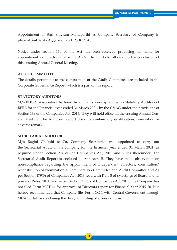Appointment of Shri Shivram Mattaparthi as Company Secretary of Company in place of Smt Sarita Aggarwal w.e.f. 23.10.2020.

Notice under section 160 of the Act has been received proposing his name for appointment as Director in ensuing AGM. He will hold office upto the conclusion of this ensuing Annual General Meeting.

#### **AUDIT COMMITTEE**

The details pertaining to the composition of the Audit Committee are included in the Corporate Governance Report, which is a part of this report.

## **STATUTORY AUDITORS**

M/s BDG & Associates Chartered Accountants were appointed as Statutory Auditors of BPRL for the Financial Year ended 31 March 2021, by the C&AG under the provisions of Section 139 of the Companies Act, 2013. They will hold office till the ensuing Annual General Meeting. The Auditors' Report does not contain any qualification, reservation or adverse remark.

## **SECRETARIAL AUDITOR**

M/s Ragini Chokshi & Co, Company Secretaries was appointed to carry out the Secretarial Audit of the company for the financial year ended 31 March 2021, as required under Section 204 of the Companies Act, 2013 and Rules thereunder. The Secretarial Audit Report is enclosed as Annexure B. They have made observation on non-compliance regarding the appointment of Independent Directors, constitution/ reconstitution of Nomination & Remuneration Committee and Audit Committee and As per Section 179(3) of Companies Act, 2013 read with Rule 8 of (Meetings of Board and its powers) Rules, 2014, and as per Section 117(1) of Companies Act, 2013, the Company has not filed Form MGT-14 for approval of Directors report for Financial Year 2019-20. It is hereby recommended that Company file Form CG-1 with Central Government through MCA portal for condoning the delay w.r.t filing of aforesaid form.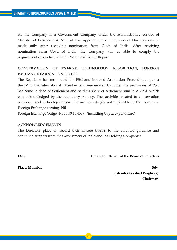As the Company is a Government Company under the administrative control of Ministry of Petroleum & Natural Gas, appointment of Independent Directors can be made only after receiving nomination from Govt. of India. After receiving nomination form Govt. of India, the Company will be able to comply the requirements, as indicated in the Secretarial Audit Report.

# **CONSERVATION OF ENERGY, TECHNOLOGY ABSORPTION, FOREIGN EXCHANGE EARNINGS & OUTGO**

The Regulator has terminated the PSC and initiated Arbitration Proceedings against the JV in the International Chamber of Commerce (ICC) under the provisions of PSC has come to deed of Settlement and paid its share of settlement sum to ANPM, which was acknowledged by the regulatory Agency. The, activities related to conservation of energy and technology absorption are accordingly not applicable to the Company. Foreign Exchange earning- Nil

Foreign Exchange Outgo- Rs 13,50,15,455/- (including Capex expenditure)

## **ACKNOWLEDGEMENTS**

The Directors place on record their sincere thanks to the valuable guidance and continued support from the Government of India and the Holding Companies.

**Date:** 

**For and on Behalf of the Board of Directors**

**Place: Mumbai** 

**Sd/- (Jitender Pershad Waghray) Chairman**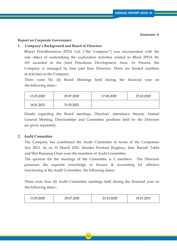#### **Annexure A**

## **Report on Corporate Governance**

## **1. Company's Background and Board of Directors**

 Bharat PetroResources JPDA Ltd. ("the Company") was incorporated with the sole object of undertaking the exploration activities related to Block JPDA 06- 103 awarded in the Joint Petroleum Development Area. At Present, the Company is managed by four part time Directors. There are limited numbers of activities in the Company.

 There were Six (6) Board Meetings held during the financial year on the following dates:-

| 13.05.2020 | 29.07.2020 | 17.08.2020 | 23.10.2020 |
|------------|------------|------------|------------|
| 18.01.2021 | 31.03.2021 |            |            |

 Details regarding the Board meetings, Directors' attendance thereat, Annual General Meeting, Directorships and Committee positions held by the Directors are given separately.

## **2. Audit Committee**

 The Company has constituted the Audit Committee in terms of the Companies Act, 2013. As on 31 March 2021, Jitender Pershad Waghray, Smt. Barnali Tokhi and Shri Ramanuj Chari were the members of Audit Committee.

 The quorum for the meetings of the Committee is 2 members. The Directors possesses the requisite knowledge of finance & accounting for effective functioning of the Audit Committee. the following dates:-

 There were four (4) Audit Committee meetings held during the financial year on the following dates:-

| 13.05.2020 | 7.2020<br>າດ .<br>∼<br>$\sim\!\!\sim\!\cdots$ | 23.10.2020 | 18.01.2021 |
|------------|-----------------------------------------------|------------|------------|
|------------|-----------------------------------------------|------------|------------|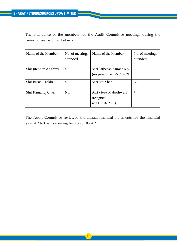The attendance of the members for the Audit Committee meetings during the financial year is given below:-

| Name of the Member    | No. of meetings<br>attended | Name of the Member                                       | No. of meetings<br>attended |
|-----------------------|-----------------------------|----------------------------------------------------------|-----------------------------|
| Shri Jitender Waghray | 4                           | Shri Satheesh Kumar K.V<br>(resigned we.f. 25.01.2021)   | 4                           |
| Shri Barnali Tokhi    | 4                           | Shri Atit Shah                                           | Nil                         |
| Shri Ramanuj Chari    | Nil                         | Shri Vivek Maheshwari<br>(resigned)<br>w.e.f.05.02.2021) | $\overline{4}$              |

 The Audit Committee reviewed the annual financial statements for the financial year 2020-21 as its meeting held on 07.05.2021.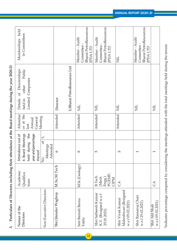Particulars of Directors including their attendance at the Board meetings during the year 2020-21 **3. Particulars of Directors including their attendance at the Board meetings during the year 2020-21**  $3.$ 

| Names of the<br>Directors                                     | Academic<br>Qualifica<br>tions                     | Attendance out of<br>6 Board Meetings<br>held during the<br>year and percentage<br>thereof | Attendan<br>ce at the<br>General<br>Annual<br>last | Public<br>of Directorships<br>Limited Companies<br>other<br>Details<br>held in | Memberships held<br>in Committees                                              |
|---------------------------------------------------------------|----------------------------------------------------|--------------------------------------------------------------------------------------------|----------------------------------------------------|--------------------------------------------------------------------------------|--------------------------------------------------------------------------------|
| Non Executive Directors                                       |                                                    | $\%$<br>ð<br><br>Meetings<br>Attended<br>$\frac{1}{2}$                                     | Meeting                                            |                                                                                |                                                                                |
| Shri Jitender Waghray                                         | M.Sc;M.Tech                                        | $\mathbf{c}$                                                                               | Attended                                           | Director                                                                       |                                                                                |
|                                                               |                                                    |                                                                                            |                                                    | 1) Bharat PetroResources Ltd                                                   |                                                                                |
| Smt Barnali Barua<br>Tokhi                                    | M.Sc (Geology)                                     | $\circ$                                                                                    | Attended                                           | $\Xi$                                                                          | <b>Bharat PetroResources</b><br>Member - Audit<br>Committee<br><b>IPDA LTD</b> |
| Shri Satheesh Kumar<br>K.V. (Resigned w.e.f<br>25.01.2021)    | PGEMP,<br><b>B.Tech</b><br>(Mech<br>Engg.)<br>CIPM | 5                                                                                          | Attended                                           | EN                                                                             | <b>Bharat PetroResources</b><br>Member - Audit<br>Committee-<br>JPDA LTD       |
| Maheshwari (Resigned<br>Shri Vivek Kumar<br>w.e.f 05.02.2021) | $\mathcal{L}$                                      | 5                                                                                          | Attended                                           | E                                                                              | E                                                                              |
| Shri Ramanuj Chari<br>w.e.f 25.02.2021)                       |                                                    | $\overline{\phantom{0}}$                                                                   |                                                    | E                                                                              | <b>Bharat PetroResources</b><br>Member - Audit<br>Committee -<br>IPDA LTE      |
| w.e.f 05.02.2021)<br>Shri Atit Shah                           | $\mathcal{L}$                                      | $\overline{\phantom{0}}$                                                                   |                                                    | $\Xi$                                                                          |                                                                                |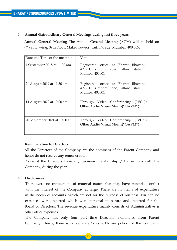## **4. Annual /Extraordinary General Meetings during last three years**

 **Annual General Meeting** The Annual General Meeting (AGM) will be held on ( \* ) at 'E' wing, 09th Floor, Maker Towers, Cuff Parade, Mumbai, 400 005.

| Date and Time of the meeting  | Venue                                                                                          |
|-------------------------------|------------------------------------------------------------------------------------------------|
| 4 September 2018 at 11.00 am  | Registered office at Bharat Bhavan,<br>4 & 6 Currimbhoy Road, Ballard Estate,<br>Mumbai 400001 |
| 21 August 2019 at 11.30 am    | Registered office at Bharat Bhavan,<br>4 & 6 Currimbhoy Road, Ballard Estate,<br>Mumbai 400001 |
| 14 August 2020 at 10.00 am    | Through Video Conferencing ("VC")/<br>Other Audio Visual Means("OAVM")                         |
| 20 September 2021 at 10.00 am | Through Video Conferencing ("VC")/<br>Other Audio Visual Means("OAVM")                         |

## **5. Remuneration to Directors**

 All the Directors of the Company are the nominees of the Parent Company and hence do not receive any remuneration.

 None of the Directors have any pecuniary relationship / transactions with the Company, during the year.

## **6. Disclosures**

 There were no transactions of material nature that may have potential conflict with the interest of the Company at large. There are no items of expenditure in the books of accounts, which are not for the purpose of business. Further, no expenses were incurred which were personal in nature and incurred for the Board of Directors. The revenue expenditure mainly consists of Administrative  $\&$ other office expenses.

 The Company has only four part time Directors, nominated from Parent Company. Hence, there is no separate Whistle Blower policy for the Company.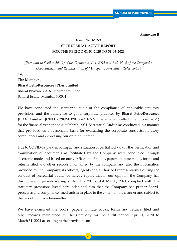**Annexure B**

# **Form No. MR-3 SECRETARIAL AUDIT REPORT FOR THE PERIOD 01-04-2020 TO 31-03-2021**

**[***Pursuant to Section 204(1) of the Companies Act, 2013 and Rule No.9 of the Companies (Appointment and Remuneration of Managerial Personnel) Rules, 2014***]**

**To,**

**The Members,**

#### **Bharat PetroResources JPDA Limited**

Bharat Bhavan, 4 & 6 Currimbhoy Road, Ballard Estate, Mumbai 400001

We have conducted the secretarial audit of the compliance of applicable statutory provisions and the adherence to good corporate practices by **Bharat PetroResources JPDA Limited (CIN:U23209MH2006GOI165279)**(hereinafter called the "Company") for the financial year ended 31st March, 2021. Secretarial Audit was conducted in a manner that provided us a reasonable basis for evaluating the corporate conducts/statutory compliances and expressing our opinion thereon.

Due to COVID-19 pandemic impact and situation of partial lockdown, the verification and examination of documents as facilitated by the Company were conducted through electronic mode and based on our verification of books, papers, minute books, forms and returns filed and other records maintained by the company and also the information provided by the Company, its officers, agents and authorized representatives during the conduct of secretarial audit, we hereby report that in our opinion, the Company has duringtheauditperiodcovering1st April, 2020 to 31st March, 2021 complied with the statutory provisions listed hereunder and also that the Company has proper Boardprocesses and compliance- mechanism in place to the extent, in the manner and subject to the reporting made hereinafter:

We have examined the books, papers, minute books, forms and returns filed and other records maintained by the Company for the audit period April 1, 2020 to March 31, 2021 according to the provisions of: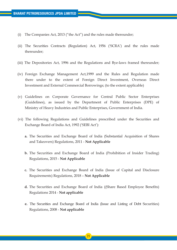- (i) The Companies Act, 2013 ("the Act") and the rules made thereunder;
- (ii) The Securities Contracts (Regulation) Act, 1956 ('SCRA') and the rules made thereunder;
- (iii) The Depositories Act, 1996 and the Regulations and Bye-laws framed thereunder;
- (iv) Foreign Exchange Management Act,1999 and the Rules and Regulation made there under to the extent of Foreign Direct Investment, Overseas Direct Investment and External Commercial Borrowings; (to the extent applicable)
- (v) Guidelines on Corporate Governance for Central Public Sector Enterprises (Guidelines), as issued by the Department of Public Enterprises (DPE) of Ministry of Heavy Industries and Public Enterprises, Government of India.
- (vi) The following Regulations and Guidelines prescribed under the Securities and Exchange Board of India Act, 1992 ('SEBI Act'):
	- **a.** The Securities and Exchange Board of India (Substantial Acquisition of Shares and Takeovers) Regulations, 2011 - **Not Applicable**
	- **b.** The Securities and Exchange Board of India (Prohibition of Insider Trading) Regulations, 2015 - **Not Applicable**
	- **c.** The Securities and Exchange Board of India (Issue of Capital and Disclosure Requirements) Regulations, 2018 – **Not Applicable**
	- **d.** The Securities and Exchange Board of India ((Share Based Employee Benefits) Regulations 2014 - **Not applicable**
	- **e.** The Securities and Exchange Board of India (Issue and Listing of Debt Securities) Regulations, 2008 - **Not applicable**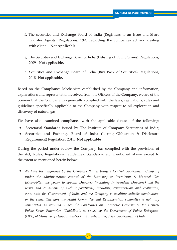- **f.** The securities and Exchange Board of India (Registrars to an Issue and Share Transfer Agents) Regulations, 1993 regarding the companies act and dealing with client. **- Not Applicable**
- **g.** The Securities and Exchange Board of India (Delisting of Equity Shares) Regulations, 2009 **- Not applicable.**
- **h.** Securities and Exchange Board of India (Buy Back of Securities) Regulations, 2018- **Not applicable.**

Based on the Compliance Mechanism established by the Company and information, explanations and representation received from the Officers of the Company, we are of the opinion that the Company has generally complied with the laws, regulations, rules and guidelines specifically applicable to the Company with respect to oil exploration and discovery of natural gas.

We have also examined compliance with the applicable clauses of the following:

- Secretarial Standards issued by The Institute of Company Secretaries of India; •
- Securities and Exchange Board of India (Listing Obligation & Disclosure Requirement) Regulation, 2015. **Not applicable**

During the period under review the Company has complied with the provisions of the Act, Rules, Regulations, Guidelines, Standards, etc. mentioned above except to the extent as mentioned herein below:

 *We have been informed by the Company that it being a Central Government Company* • *under the administrative control of the Ministry of Petroleum & Natural Gas (MoP&NG), the power to appoint Directors (including Independent Directors) and the terms and conditions of such appointment, including remuneration and evaluation, vests with the Government of India and the Company is awaiting suitable nominations or the same. Therefore the Audit Committee and Remuneration committee is not duly constituted as required under the Guidelines on Corporate Governance for Central Public Sector Enterprises (Guidelines), as issued by the Department of Public Enterprises (DPE) of Ministry of Heavy Industries and Public Enterprises, Government of India.*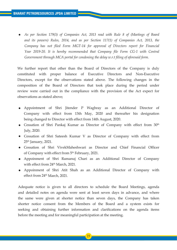*As per Section 179(3) of Companies Act, 2013 read with Rule 8 of (Meetings of Board* •  *and its powers) Rules, 2014, and as per Section 117(1) of Companies Act, 2013, the Company has not filed Form MGT-14 for approval of Directors report for Financial Year 2019-20. It is hereby recommended that Company file Form CG-1 with Central Government through MCA portal for condoning the delay w.r.t filing of aforesaid form.*

We further report that other than the Board of Directors of the Company is duly constituted with proper balance of Executive Directors and Non-Executive Directors, except for the observations stated above. The following changes in the composition of the Board of Directors that took place during the period under review were carried out in the compliance with the provision of the Act expect for observations as stated above;

- Appointment of Shri Jitender P Waghray as an Additional Director of Company with effect from 13th May, 2020 and thereafter his designation being changed to Director with effect from 14th August, 2020.
- Cessation of Shri Pankaj Kumar as Director of Company with effect from  $30<sup>th</sup>$ July, 2020.
- Cessation of Shri Sateesh Kumar V as Director of Company with effect from 25th January, 2021.
- Cessation of Shri VivekMaheshwari as Director and Chief Financial Officer of Company with effect from 5<sup>th</sup> February, 2021.
- Appoinment of Shri Ramanuj Chari as an Additional Director of Company with effect from 24<sup>th</sup> March, 2021.
- Appoinment of Shri Atit Shah as an Additional Director of Company with effect from 24<sup>th</sup> March, 2021.

Adequate notice is given to all directors to schedule the Board Meetings, agenda and detailed notes on agenda were sent at least seven days in advance, and where the same were given at shorter notice than seven days, the Company has taken shorter notice consent from the Members of the Board and a system exists for seeking and obtaining further information and clarifications on the agenda items before the meeting and for meaningful participation at the meeting.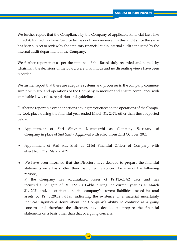We further report that the Compliance by the Company of applicable Financial laws like Direct & Indirect tax laws, Service tax has not been reviewed in this audit since the same has been subject to review by the statutory financial audit, internal audit conducted by the internal audit department of the Company.

We further report that as per the minutes of the Board duly recorded and signed by Chairman, the decisions of the Board were unanimous and no dissenting views have been recorded.

We further report that there are adequate systems and processes in the company commensurate with size and operations of the Company to monitor and ensure compliance with applicable laws, rules, regulation and guidelines.

Further no reportable event or actions having major effect on the operations of the Company took place during the financial year ended March 31, 2021, other than those reported below:

- Appointment of Shri Shivram Mattaparthi as Company Secretary of Company in place of Smt Sarita Aggarwal with effect from 23rd October, 2020. •
- Appoinment of Shri Atit Shah as Chief Financial Officer of Company with effect from 31st March, 2021. •
- We have been informed that the Directors have decided to prepare the financial statements on a basis other than that of going concern because of the following reasons; •

 a) the Company has accumulated losses of Rs.11,620.82 Lacs and has incurred a net gain of Rs. 1223.63 Lakhs during the current year as at March 31, 2021 and, as of that date, the company's current liabilities exceed its total assets by Rs. 5620.82 lakhs., indicating the existence of a material uncertainty that cast significant doubt about the Company's ability to continue as a going concern and therefore the directors have decided to prepare the financial statements on a basis other than that of a going concern.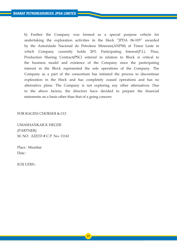b) Further the Company was formed as a special purpose vehicle for undertaking the exploration activities in the block "JPDA 06-103" awarded by the Autoridade Nacional do Petroleoe Minerais(ANPM) of Timor Leste in which Company currently holds 20% Participating Interest(P.I.). Thus, Production Sharing Contract(PSC) entered in relation to Block is critical to the business model and existence of the Company since the participating interest in the Block represented the sole operations of the Company. The Company as a part of the consortium has initiated the process to discontinue exploration in the block and has completely ceased operations and has no alternative plans. The Company is not exploring any other alternatives. Due to the above factors, the directors have decided to prepare the financial statements on a basis other than that of a going concern

FOR RAGINI CHOKSHI & CO.

UMASHANKAR K HEGDE (PARTNER) M. NO. A22133 # C.P. No- 11161

Place : Mumbai Date:

ICSI UDIN :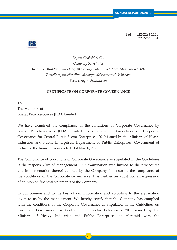**Tel 022-2283 1120 022-2283 1134**



*Ragini Chokshi & Co. Company Secretaries 34, Kamer Building, 5th Floor, 38 Cawasji Patel Street, Fort, Mumbai- 400 001 E-mail: ragini.c@rediffmail.com/mail@csraginichokshi.com Web: csraginichokshi.com*

## **CERTIFICATE ON CORPORATE GOVERNANCE**

To, The Members of Bharat PetroResources JPDA Limited

We have examined the compliance of the conditions of Corporate Governance by Bharat PetroResources JPDA Limited, as stipulated in Guidelines on Corporate Governance for Central Public Sector Enterprises, 2010 issued by the Ministry of Heavy Industries and Public Enterprises, Department of Public Enterprises, Government of India, for the financial year ended 31st March, 2021.

The Compliance of conditions of Corporate Governance as stipulated in the Guidelines is the responsibility of management. Our examination was limited to the procedures and implementation thereof adopted by the Company for ensuring the compliance of the conditions of the Corporate Governance. It is neither an audit nor an expression of opinion on financial statements of the Company.

In our opinion and to the best of our information and according to the explanation given to us by the management, We hereby certify that the Company has complied with the conditions of the Corporate Governance as stipulated in the Guidelines on Corporate Governance for Central Public Sector Enterprises, 2010 issued by the Ministry of Heavy Industries and Public Enterprises as aforesaid with the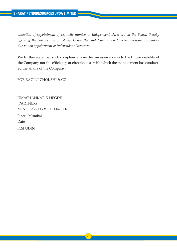*exception of appointment of requisite number of Independent Directors on the Board, thereby affecting the composition of Audit Committee and Nomination & Remuneration Committee due to non appointment of Independent Directors.*

We further state that such compliance is neither an assurance as to the future viability of the Company nor the efficiency or effectiveness with which the management has conducted the affairs of the Company.

FOR RAGINI CHOKSHI & CO.

UMASHANKAR K HEGDE (PARTNER) M. NO. A22133 # C.P. No- 11161 Place : Mumbai Date : ICSI UDIN :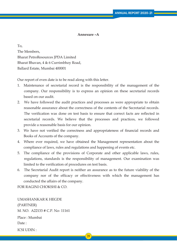## **Annexure –A**

To, The Members, Bharat PetroResources JPDA Limited Bharat Bhavan, 4 & 6 Currimbhoy Road, Ballard Estate, Mumbai 400001

Our report of even date is to be read along with this letter.

- 1. Maintenance of secretarial record is the responsibility of the management of the company. Our responsibility is to express an opinion on these secretarial records based on our audit.
- 2. We have followed the audit practices and processes as were appropriate to obtain reasonable assurance about the correctness of the contents of the Secretarial records. The verification was done on test basis to ensure that correct facts are reflected in secretarial records. We believe that the processes and practices, we followed provide a reasonable basis for our opinion.
- 3. We have not verified the correctness and appropriateness of financial records and Books of Accounts of the company.
- 4. Where ever required, we have obtained the Management representation about the compliance of laws, rules and regulations and happening of events etc.
- 5. The compliance of the provisions of Corporate and other applicable laws, rules, regulations, standards is the responsibility of management. Our examination was limited to the verification of procedures on test basis.
- 6. The Secretarial Audit report is neither an assurance as to the future viability of the company nor of the efficacy or effectiveness with which the management has conducted the affairs of the company.

FOR RAGINI CHOKSHI & CO.

UMASHANKAR K HEGDE (PARTNER) M. NO. A22133 # C.P. No- 11161 Place : Mumbai Date: ICSI UDIN :

28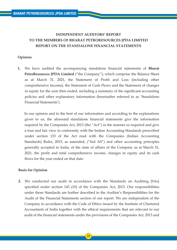# **INDEPENDENT AUDITORS' REPORT TO THE MEMBERS OF BHARAT PETRORESOURCES JPDA LIMITED REPORT ON THE STANDALONE FINANCIAL STATEMENTS**

## **Opinion**

**1.** We have audited the accompanying standalone financial statements of **Bharat PetroResources JPDA Limited** ("the Company"), which comprise the Balance Sheet as at March 31, 2021, the Statement of Profit and Loss (including other comprehensive Income), the Statement of Cash Flows and the Statement of changes in equity for the year then ended, including a summary of the significant accounting policies and other explanatory information (hereinafter referred to as 'Standalone Financial Statements').

 In our opinion and to the best of our information and according to the explanations given to us, the aforesaid standalone financial statements give the information required by the Companies Act, 2013 (the "Act") in the manner so required and give a true and fair view in conformity with the Indian Accounting Standards prescribed under section 133 of the Act read with the Companies (Indian Accounting Standards) Rules, 2015, as amended, ("Ind AS") and other accounting principles generally accepted in India, of the state of affairs of the Company as at March 31, 2021, the profit and total comprehensive income, changes in equity and its cash flows for the year ended on that date.

## **Basis for Opinion**

**2.** We conducted our audit in accordance with the Standards on Auditing (SAs) specified under section 143 (10) of the Companies Act, 2013. Our responsibilities under those Standards are further described in the Auditor's Responsibilities for the Audit of the Financial Statements section of our report. We are independent of the Company in accordance with the Code of Ethics issued by the Institute of Chartered Accountants of India together with the ethical requirements that are relevant to our audit of the financial statements under the provisions of the Companies Act, 2013 and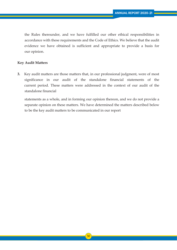the Rules thereunder, and we have fulfilled our other ethical responsibilities in accordance with these requirements and the Code of Ethics. We believe that the audit evidence we have obtained is sufficient and appropriate to provide a basis for our opinion.

## **Key Audit Matters**

**3.** Key audit matters are those matters that, in our professional judgment, were of most significance in our audit of the standalone financial statements of the current period. These matters were addressed in the context of our audit of the standalone financial

 statements as a whole, and in forming our opinion thereon, and we do not provide a separate opinion on these matters. We have determined the matters described below to be the key audit matters to be communicated in our report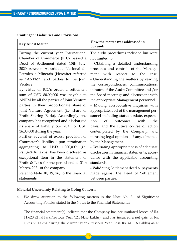| <b>Contingent Liabilities and Provisions</b> |  |  |  |
|----------------------------------------------|--|--|--|
|----------------------------------------------|--|--|--|

| <b>Key Audit Matter</b>                    | How the matter was addressed in<br>our audit     |
|--------------------------------------------|--------------------------------------------------|
| During the current year International      | The audit procedures included but were           |
| Chamber of Commerce (ICC) passed a         | not limited to:                                  |
| Deed of Settlement dated 15th July,        | - Obtaining a detailed understanding             |
| 2020 between Autoridade Nacional do        | processes and controls of the Manage-            |
| Petroleo e Minerais (Hereafter referred    | with<br>respect to the<br>ment<br>case.          |
| as "ANPM") and parties to the Joint        | - Understanding the matters by reading           |
| Venture.                                   | the correspondences, communications,             |
| By virtue of ICC's order, a settlement     | minutes of the Audit Committee and /or           |
| sum of USD 80,00,000 was payable to        | the Board meetings and discussions with          |
| ANPM by all the parties of Joint Venture   | the appropriate Management personnel.            |
| parties in their proportionate share of    | - Making corroborative inquiries with            |
| Joint Venture Agreement (i.e. share of     | appropriate level of the management per-         |
| Profit Sharing Ratio). Accordingly, the    | sonnel including status update, expecta-         |
| company has recognized and discharged      | <sub>of</sub><br>tion<br>outcomes<br>with<br>the |
| its share of liability (i.e. 20%) of USD   | basis, and the future course of action           |
| 16,00,000 during the year.                 | contemplated by the Company, and                 |
| Further, reversal of excess provision of   | perusing legal opinions, if any, obtained        |
| Contractor's liability upon termination    | by the Management.                               |
| aggregating to USD 1,900,000 (i.e.         | - Evaluating appropriateness of adequate         |
| Rs.1,424.16 lakhs) has been disclosed as   | disclosures in financial statements, accor-      |
| exceptional item in the statement of       | dance with the applicable accounting             |
| Profit & Loss for the period ended 31st    | standards.                                       |
| March, 2021 of the company.                | - Validating Settlement deed & payments          |
| Refer to Note 10, 19, 26, to the financial | made against the Deed of Settlement              |
| statements                                 | between parties.                                 |

## **Material Uncertainty Relating to Going Concern**

4. We draw attention to the following matters in the Note No. 2.1 of Significant Accounting Policies stated in the Notes to the Financial Statements:

 The financial statement(s) indicate that the Company has accumulated losses of Rs. 11,620.82 lakhs (Previous Year 12,844.45 Lakhs), and has incurred a net gain of Rs. 1,223.63 Lakhs during the current year (Previous Year Loss Rs. 410.16 Lakhs) as at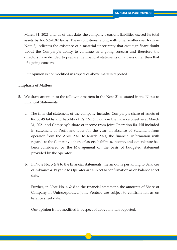March 31, 2021 and, as of that date, the company's current liabilities exceed its total assets by Rs. 5,620.82 lakhs. These conditions, along with other matters set forth in Note 3, indicates the existence of a material uncertainty that cast significant doubt about the Company's ability to continue as a going concern and therefore the directors have decided to prepare the financial statements on a basis other than that of a going concern.

Our opinion is not modified in respect of above matters reported.

#### **Emphasis of Matters**

- 5. We draw attention to the following matters in the Note 21 as stated in the Notes to Financial Statements:
	- a. The financial statement of the company includes Company's share of assets of Rs. 30.49 lakhs and liability of Rs. 151.63 lakhs in the Balance Sheet as at March 31, 2021 and Company's share of income from Joint Operation Rs. Nil included in statement of Profit and Loss for the year. In absence of Statement from operator from the April 2020 to March 2021, the financial information with regards to the Company's share of assets, liabilities, income, and expenditure has been considered by the Management on the basis of budgeted statement provided by the operator.
	- b. In Note No.  $5 \& 8$  to the financial statements, the amounts pertaining to Balances of Advance & Payable to Operator are subject to confirmation as on balance sheet date.

 Further, in Note No. 4 & 8 to the financial statement, the amounts of Share of Company in Unincorporated Joint Venture are subject to confirmation as on balance sheet date.

Our opinion is not modified in respect of above matters reported.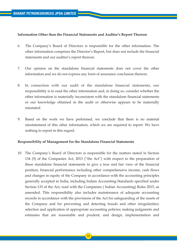## **Information Other than the Financial Statements and Auditor's Report Thereon**

- 6. The Company's Board of Directors is responsible for the other information. The other information comprises the Director's Report, but does not include the financial statements and our auditor's report thereon.
- 7. Our opinion on the standalone financial statements does not cover the other information and we do not express any form of assurance conclusion thereon.
- 8. In connection with our audit of the standalone financial statements, our responsibility is to read the other information and, in doing so, consider whether the other information is materially inconsistent with the standalone financial statements or our knowledge obtained in the audit or otherwise appears to be materially misstated.
- 9. Based on the work we have performed, we conclude that there is no material misstatement of this other information, which we are required to report. We have nothing to report in this regard.

## **Responsibility of Management for the Standalone Financial Statements**

10. The Company's Board of Directors is responsible for the matters stated in Section 134 (5) of the Companies Act, 2013 ("the Act") with respect to the preparation of these standalone financial statements to give a true and fair view of the financial position, financial performance including other comprehensive income, cash flows and changes in equity of the Company in accordance with the accounting principles generally accepted in India, including Indian Accounting Standards specified under Section 133 of the Act, read with the Companies ( Indian Accounting) Rules 2015, as amended. This responsibility also includes maintenance of adequate accounting records in accordance with the provisions of the Act for safeguarding of the assets of the Company and for preventing and detecting frauds and other irregularities; selection and application of appropriate accounting policies; making judgments and estimates that are reasonable and prudent; and design, implementation and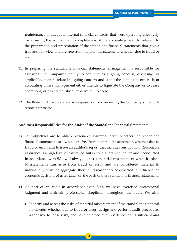maintenance of adequate internal financial controls, that were operating effectively for ensuring the accuracy and completeness of the accounting records, relevant to the preparation and presentation of the standalone financial statements that give a true and fair view and are free from material misstatement, whether due to fraud or error.

- 11. In preparing the standalone financial statements, management is responsible for assessing the Company's ability to continue as a going concern, disclosing, as applicable, matters related to going concern and using the going concern basis of accounting unless management either intends to liquidate the Company or to cease operations, or has no realistic alternative but to do so.
- 12. The Board of Directors are also responsible for overseeing the Company's financial reporting process.

#### **Auditor's Responsibilities for the Audit of the Standalone Financial Statements**

- 13. Our objectives are to obtain reasonable assurance about whether the standalone financial statements as a whole are free from material misstatement, whether due to fraud or error, and to issue an auditor's report that includes our opinion. Reasonable assurance is a high level of assurance, but is not a guarantee that an audit conducted in accordance with SAs will always detect a material misstatement when it exists. Misstatements can arise from fraud or error and are considered material if, individually or in the aggregate, they could reasonably be expected to influence the economic decisions of users taken on the basis of these standalone financial statements
- 14. As part of an audit in accordance with SAs, we have exercised professional judgment and maintain professional skepticism throughout the audit. We also:
- Identify and assess the risks of material misstatement of the standalone financial statements, whether due to fraud or error, design and perform audit procedures responsive to those risks, and have obtained audit evidence that is sufficient and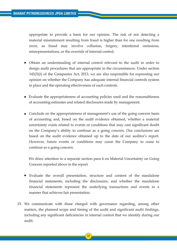appropriate to provide a basis for our opinion. The risk of not detecting a material misstatement resulting from fraud is higher than for one resulting from error, as fraud may involve collusion, forgery, intentional omissions, misrepresentations, or the override of internal control.

- Obtain an understanding of internal control relevant to the audit in order to design audit procedures that are appropriate in the circumstances. Under section 143(3)(i) of the Companies Act, 2013, we are also responsible for expressing our opinion on whether the Company has adequate internal financial controls system in place and the operating effectiveness of such controls. •
- Evaluate the appropriateness of accounting policies used and the reasonableness of accounting estimates and related disclosures made by management.
- Conclude on the appropriateness of management's use of the going concern basis of accounting and, based on the audit evidence obtained, whether a material uncertainty exists related to events or conditions that may cast significant doubt on the Company's ability to continue as a going concern. Our conclusions are based on the audit evidence obtained up to the date of our auditor's report. However, future events or conditions may cause the Company to cease to continue as a going concern.

 We draw attention to a separate section para 4 on Material Uncertainty on Going Concern reported above in the report

- Evaluate the overall presentation, structure and content of the standalone financial statements, including the disclosures, and whether the standalone financial statements represent the underlying transactions and events in a manner that achieves fair presentation. •
- 15. We communicate with those charged with governance regarding, among other matters, the planned scope and timing of the audit and significant audit findings, including any significant deficiencies in internal control that we identify during our audit.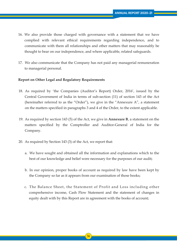- 16. We also provide those charged with governance with a statement that we have complied with relevant ethical requirements regarding independence, and to communicate with them all relationships and other matters that may reasonably be thought to bear on our independence, and where applicable, related safeguards.
- 17. We also communicate that the Company has not paid any managerial remuneration to managerial personal.

## **Report on Other Legal and Regulatory Requirements**

- 18. As required by 'the Companies (Auditor's Report) Order, 2016', issued by the Central Government of India in terms of sub-section (11) of section 143 of the Act (hereinafter referred to as the "Order"), we give in the "Annexure A", a statement on the matters specified in paragraphs 3 and 4 of the Order, to the extent applicable.
- 19. As required by section 143 (5) of the Act, we give in **Annexure B**, a statement on the matters specified by the Comptroller and Auditor-General of India for the Company.
- 20. As required by Section 143 (3) of the Act, we report that:
	- a. We have sought and obtained all the information and explanations which to the best of our knowledge and belief were necessary for the purposes of our audit;
	- b. In our opinion, proper books of account as required by law have been kept by the Company so far as it appears from our examination of those books;
	- c. The Balance Sheet, the Statement of Profit and Loss including other comprehensive income, Cash Flow Statement and the statement of changes in equity dealt with by this Report are in agreement with the books of account;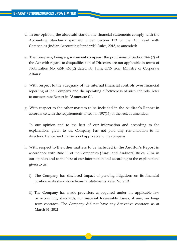- d. In our opinion, the aforesaid standalone financial statements comply with the Accounting Standards specified under Section 133 of the Act, read with Companies (Indian Accounting Standards) Rules, 2015, as amended;
- e. The Company, being a government company, the provisions of Section 164 (2) of the Act with regard to disqualification of Directors are not applicable in terms of Notification No, GSR 463(E) dated 5th June, 2015 from Ministry of Corporate Affairs;
- f. With respect to the adequacy of the internal financial controls over financial reporting of the Company and the operating effectiveness of such controls, refer to our separate Report in **"Annexure C"**.
- g. With respect to the other matters to be included in the Auditor's Report in accordance with the requirements of section 197(16) of the Act, as amended:

 In our opinion and to the best of our information and according to the explanations given to us, Company has not paid any remuneration to its directors. Hence, said clause is not applicable to the company

- h. With respect to the other matters to be included in the Auditor's Report in accordance with Rule 11 of the Companies (Audit and Auditors) Rules, 2014, in our opinion and to the best of our information and according to the explanations given to us:
	- i) The Company has disclosed impact of pending litigations on its financial position in its standalone financial statements Refer Note 19;
	- ii) The Company has made provision, as required under the applicable law or accounting standards, for material foreseeable losses, if any, on long term contracts. The Company did not have any derivative contracts as at March 31, 2021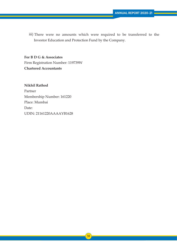iii) There were no amounts which were required to be transferred to the Investor Education and Protection Fund by the Company.

 **For B D G & Associates** Firm Registration Number: 119739W **Chartered Accountants**

 **Nikhil Rathod** Partner Membership Number: 161220 Place: Mumbai Date: UDIN: 21161220AAAAYB1628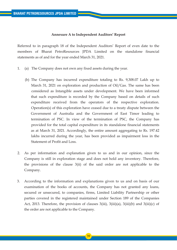## **Annexure A to Independent Auditors' Report**

Referred to in paragraph 18 of the Independent Auditors' Report of even date to the members of Bharat PetroResources JPDA Limited on the standalone financial statements as of and for the year ended March 31, 2021.

- 1. (a) The Company does not own any fixed assets during the year.
	- (b) The Company has incurred expenditure totaling to Rs. 9,308.07 Lakh up to March 31, 2021 on exploration and production of Oil/Gas. The same has been considered as Intangible assets under development. We have been informed that such expenditure is recorded by the Company based on details of such expenditure received from the operators of the respective exploration. Operation(s) of this exploration have ceased due to a treaty dispute between the Government of Australia and the Government of East Timor leading to termination of PSC. In view of the termination of PSC, the Company has provided for the total capital expenditure in its standalone financial statements as at March 31, 2021. Accordingly, the entire amount aggregating to Rs. 197.42 lakhs incurred during the year, has been provided as impairment loss in the Statement of Profit and Loss.
- 2. As per information and explanation given to us and in our opinion, since the Company is still in exploration stage and does not hold any inventory. Therefore, the provisions of the clause 3(ii) of the said order are not applicable to the Company.
- 3. According to the information and explanations given to us and on basis of our examination of the books of accounts, the Company has not granted any loans, secured or unsecured, to companies, firms, Limited Liability Partnership or other parties covered in the registered maintained under Section 189 of the Companies Act, 2013. Therefore, the provision of clauses 3(iii), 3(iii)(a), 3(iii)(b) and 3(iii)(c) of the order are not applicable to the Company.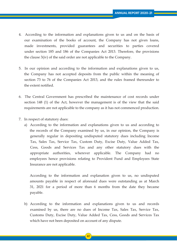- 4. According to the information and explanations given to us and on the basis of our examination of the books of account, the Company has not given loans, made investments, provided guarantees and securities to parties covered under section 185 and 186 of the Companies Act 2013. Therefore, the provisions the clause 3(iv) of the said order are not applicable to the Company.
- 5. In our opinion and according to the information and explanations given to us, the Company has not accepted deposits from the public within the meaning of section 73 to 76 of the Companies Act 2013, and the rules framed thereunder to the extent notified.
- 6. The Central Government has prescribed the maintenance of cost records under section 148 (1) of the Act, however the management is of the view that the said requirements are not applicable to the company as it has not commenced production.
- 7. In respect of statutory dues:
	- a) According to the information and explanations given to us and according to the records of the Company examined by us, in our opinion, the Company is generally regular in depositing undisputed statutory dues including Income Tax, Sales Tax, Service Tax, Custom Duty, Excise Duty, Value Added Tax, Cess, Goods and Services Tax and any other statutory dues with the appropriate authorities, wherever applicable. The Company had employees hence provisions relating to Provident Fund and Employees State Insurance are not applicable.

 According to the information and explanation given to us, no undisputed amounts payable in respect of aforesaid dues were outstanding as at March 31, 2021 for a period of more than 6 months from the date they became payable.

 b) According to the information and explanations given to us and records examined by us, there are no dues of Income Tax, Sales Tax, Service Tax, Customs Duty, Excise Duty, Value Added Tax, Cess, Goods and Services Tax which have not been deposited on account of any dispute.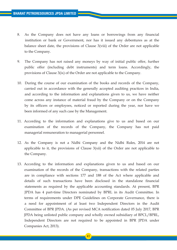- 8. As the Company does not have any loans or borrowings from any financial institution or bank or Government, nor has it issued any debentures as at the balance sheet date, the provisions of Clause 3(viii) of the Order are not applicable to the Company.
- 9. The Company has not raised any moneys by way of initial public offer, further public offer (including debt instruments) and term loans. Accordingly, the provisions of Clause 3(ix) of the Order are not applicable to the Company.
- 10. During the course of our examination of the books and records of the Company, carried out in accordance with the generally accepted auditing practices in India, and according to the information and explanations given to us, we have neither come across any instance of material fraud by the Company or on the Company by its officers or employees, noticed or reported during the year, nor have we been informed of any such case by the Management.
- 11. According to the information and explanations give to us and based on our examination of the records of the Company, the Company has not paid managerial remuneration to managerial personnel.
- 12. As the Company is not a Nidhi Company and the Nidhi Rules, 2014 are not applicable to it, the provisions of Clause 3(xii) of the Order are not applicable to the Company.
- 13. According to the information and explanations given to us and based on our examination of the records of the Company, transactions with the related parties are in compliance with sections 177 and 188 of the Act where applicable and details of such transactions have been disclosed in the standalone financial statements as required by the applicable accounting standards. At present, BPR JPDA has 4 part-time Directors nominated by BPRL in its Audit Committee. In terms of requirements under DPE Guidelines on Corporate Governance, there is a need for appointment of at least two Independent Directors in the Audit Committee of BPR JPDA. (As per revised MCA notification dated 05 July 2017, BPR JPDA being unlisted public company and wholly owned subsidiary of BPCL/BPRL, Independent Directors are not required to be appointed in BPR JPDA under Companies Act, 2013).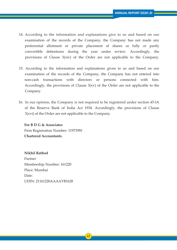- 14. According to the information and explanations give to us and based on our examination of the records of the Company, the Company has not made any preferential allotment or private placement of shares or fully or partly convertible debentures during the year under review. Accordingly, the provisions of Clause 3(xiv) of the Order are not applicable to the Company.
- 15. According to the information and explanations given to us and based on our examination of the records of the Company, the Company has not entered into non-cash transactions with directors or persons connected with him. Accordingly, the provisions of Clause 3(xv) of the Order are not applicable to the Company.
- 16. In our opinion, the Company is not required to be registered under section 45-IA of the Reserve Bank of India Act 1934. Accordingly, the provisions of Clause 3(xvi) of the Order are not applicable to the Company.

 **For B D G & Associates** Firm Registration Number: 119739W **Chartered Accountants**

 **Nikhil Rathod** Partner Membership Number: 161220 Place: Mumbai Date: UDIN: 21161220AAAAYB1628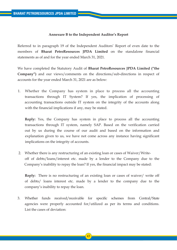## **Annexure B to the Independent Auditor's Report**

Referred to in paragraph 19 of the Independent Auditors' Report of even date to the members of **Bharat PetroResources JPDA Limited** on the standalone financial statements as of and for the year ended March 31, 2021.

We have completed the Statutory Audit of **Bharat PetroResources JPDA Limited ("the Company")** and our views/comments on the directions/sub-directions in respect of accounts for the year ended March 31, 2021 are as below:

1. Whether the Company has system in place to process all the accounting transactions through IT System? If yes, the implication of processing of accounting transactions outside IT system on the integrity of the accounts along with the financial implications if any, may be stated.

 **Reply:** Yes, the Company has system in place to process all the accounting transactions through IT system, namely SAP. Based on the verification carried out by us during the course of our audit and based on the information and explanation given to us, we have not come across any instance having significant implications on the integrity of accounts.

 2. Whether there is any restructuring of an existing loan or cases of Waiver/Write off of debts/loans/interest etc. made by a lender to the Company due to the Company's inability to repay the loan? If yes, the financial impact may be stated:

 **Reply:** There is no restructuring of an existing loan or cases of waiver/ write off of debts/ loans interest etc. made by a lender to the company due to the company's inability to repay the loan.

3. Whether funds received/receivable for specific schemes from Central/State agencies were properly accounted for/utilized as per its terms and conditions. List the cases of deviation: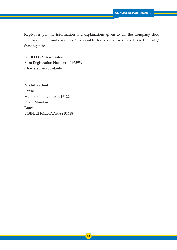**Reply:** As per the information and explanations given to us, the Company does not have any funds received/ receivable for specific schemes from Central / State agencies.

 **For B D G & Associates** Firm Registration Number: 119739W **Chartered Accountants**

 **Nikhil Rathod** Partner Membership Number: 161220 Place: Mumbai Date: UDIN: 21161220AAAAYB1628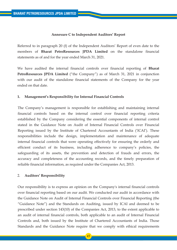## **Annexure C to Independent Auditors' Report**

Referred to in paragraph 20 (f) of the Independent Auditors' Report of even date to the members of **Bharat PetroResources JPDA Limited** on the standalone financial statements as of and for the year ended March 31, 2021.

We have audited the internal financial controls over financial reporting of **Bharat PetroResources JPDA Limited** ("the Company") as of March 31, 2021 in conjunction with our audit of the standalone financial statements of the Company for the year ended on that date.

## **1. Management's Responsibility for Internal Financial Controls**

The Company's management is responsible for establishing and maintaining internal financial controls based on the internal control over financial reporting criteria established by the Company considering the essential components of internal control stated in the Guidance Note on Audit of Internal Financial Controls over Financial Reporting issued by the Institute of Chartered Accountants of India ('ICAI'). These responsibilities include the design, implementation and maintenance of adequate internal financial controls that were operating effectively for ensuring the orderly and efficient conduct of its business, including adherence to company's policies, the safeguarding of its assets, the prevention and detection of frauds and errors, the accuracy and completeness of the accounting records, and the timely preparation of reliable financial information, as required under the Companies Act, 2013.

## 2. **Auditors' Responsibility**

Our responsibility is to express an opinion on the Company's internal financial controls over financial reporting based on our audit. We conducted our audit in accordance with the Guidance Note on Audit of Internal Financial Controls over Financial Reporting (the "Guidance Note") and the Standards on Auditing, issued by ICAI and deemed to be prescribed under section 143(10) of the Companies Act, 2013, to the extent applicable to an audit of internal financial controls, both applicable to an audit of Internal Financial Controls and, both issued by the Institute of Chartered Accountants of India. Those Standards and the Guidance Note require that we comply with ethical requirements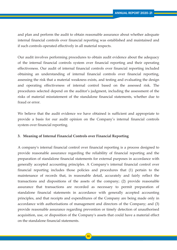and plan and perform the audit to obtain reasonable assurance about whether adequate internal financial controls over financial reporting was established and maintained and if such controls operated effectively in all material respects.

Our audit involves performing procedures to obtain audit evidence about the adequacy of the internal financial controls system over financial reporting and their operating effectiveness. Our audit of internal financial controls over financial reporting included obtaining an understanding of internal financial controls over financial reporting, assessing the risk that a material weakness exists, and testing and evaluating the design and operating effectiveness of internal control based on the assessed risk. The procedures selected depend on the auditor's judgment, including the assessment of the risks of material misstatement of the standalone financial statements, whether due to fraud or error.

We believe that the audit evidence we have obtained is sufficient and appropriate to provide a basis for our audit opinion on the Company's internal financial controls system over financial reporting.

## **3. Meaning of Internal Financial Controls over Financial Reporting**

A company's internal financial control over financial reporting is a process designed to provide reasonable assurance regarding the reliability of financial reporting and the preparation of standalone financial statements for external purposes in accordance with generally accepted accounting principles. A Company's internal financial control over financial reporting includes those policies and procedures that (1) pertain to the maintenance of records that, in reasonable detail, accurately and fairly reflect the transactions and dispositions of the assets of the company; (2) provide reasonable assurance that transactions are recorded as necessary to permit preparation of standalone financial statements in accordance with generally accepted accounting principles, and that receipts and expenditures of the Company are being made only in accordance with authorisations of management and directors of the Company; and (3) provide reasonable assurance regarding prevention or timely detection of unauthorised acquisition, use, or disposition of the Company's assets that could have a material effect on the standalone financial statements.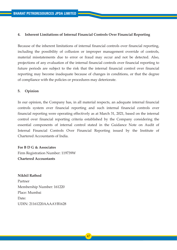## **4. Inherent Limitations of Internal Financial Controls Over Financial Reporting**

Because of the inherent limitations of internal financial controls over financial reporting, including the possibility of collusion or improper management override of controls, material misstatements due to error or fraud may occur and not be detected. Also, projections of any evaluation of the internal financial controls over financial reporting to future periods are subject to the risk that the internal financial control over financial reporting may become inadequate because of changes in conditions, or that the degree of compliance with the policies or procedures may deteriorate.

## **5. Opinion**

In our opinion, the Company has, in all material respects, an adequate internal financial controls system over financial reporting and such internal financial controls over financial reporting were operating effectively as at March 31, 2021, based on the internal control over financial reporting criteria established by the Company considering the essential components of internal control stated in the Guidance Note on Audit of Internal Financial Controls Over Financial Reporting issued by the Institute of Chartered Accountants of India.

## **For B D G & Associates**

Firm Registration Number: 119739W **Chartered Accountants**

**Nikhil Rathod** Partner Membership Number: 161220 Place: Mumbai Date: UDIN: 21161220AAAAYB1628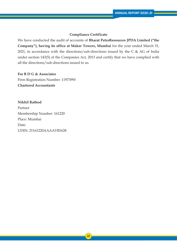## **Compliance Certificate**

We have conducted the audit of accounts of **Bharat PetroResources JPDA Limited ("the Company"), having its office at Maker Towers, Mumbai** for the year ended March 31, 2021, in accordance with the directions/sub-directions issued by the C  $\&$  AG of India under section 143(5) of the Companies Act, 2013 and certify that we have complied with all the directions/sub-directions issued to us.

## **For B D G & Associates**

Firm Registration Number: 119739W **Chartered Accountants**

**Nikhil Rathod** Partner Membership Number: 161220 Place: Mumbai Date: UDIN: 21161220AAAAYB1628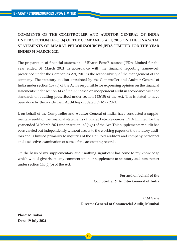# **COMMENTS OF THE COMPTROLLER AND AUDITOR GENERAL OF INDIA UNDER SECTION 143(6) (b) OF THE COMPANIES ACT, 2013 ON THE FINANCIAL STATEMENTS OF BHARAT PETRORESOURCES JPDA LIMITED FOR THE YEAR ENDED 31 MARCH 2021**

The preparation of financial statements of Bharat PetroResources JPDA Limited for the year ended 31 March 2021 in accordance with the financial reporting framework prescribed under the Companies Act, 2013 is the responsibility of the management of the company. The statutory auditor appointed by the Comptroller and Auditor General of India under section 139 (5) of the Act is responsible for expressing opinion on the financial statements under section 143 of the Act based on independent audit in accordance with the standards on auditing prescribed under section 143(10) of the Act. This is stated to have been done by them vide their Audit Report dated 07 May 2021.

I, on behalf of the Comptroller and Auditor General of India, have conducted a supplementary audit of the financial statements of Bharat PetroResources JPDA Limited for the year ended 31 March 2021 under section 143(6)(a) of the Act. This supplementary audit has been carried out independently without access to the working papers of the statutory auditors and is limited primarily to inquiries of the statutory auditors and company personnel and a selective examination of some of the accounting records.

On the basis of my supplementary audit nothing significant has come to my knowledge which would give rise to any comment upon or supplement to statutory auditors' report under section 143(6)(b) of the Act.

> **For and on behalf of the Comptroller & Auditor General of India**

**C.M.Sane Director General of Commercial Audit, Mumbai**

**Place: Mumbai Date: 19 July 2021**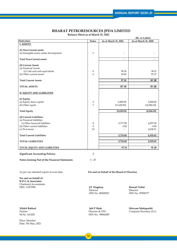**Balance Sheet as at March 31, 2021**

| (Rs. in Lakhs)                                                                                                 |                                                                                               |                         |                                                |
|----------------------------------------------------------------------------------------------------------------|-----------------------------------------------------------------------------------------------|-------------------------|------------------------------------------------|
| Particulars                                                                                                    | <b>Notes</b>                                                                                  | As at March 31, 2021    | As at March 31, 2020                           |
| <b>I. ASSETS</b>                                                                                               |                                                                                               |                         |                                                |
| (1) Non-Current assets<br>(a) Intangible assets under development                                              | 3                                                                                             |                         |                                                |
| <b>Total Non-Current assets</b>                                                                                |                                                                                               | -                       | $\qquad \qquad \blacksquare$                   |
| (2) Current Assets<br>(a) Financial Assets<br>(i) Cash and cash equivalents<br>(b) Other current assets        | 4<br>5                                                                                        | 78.36<br>18.82          | 38.21<br>53.17                                 |
| <b>Total Current Assets</b>                                                                                    |                                                                                               | 97.18                   | 91.38                                          |
| <b>TOTAL ASSETS</b>                                                                                            |                                                                                               | 97.18                   | 91.38                                          |
| <b>II. EQUITY AND LIABILITIES</b>                                                                              |                                                                                               |                         |                                                |
| (1) Equity<br>(a) Equity share capital<br>(b) Other equity                                                     | 6<br>7                                                                                        | 6,000.00<br>(11,620.82) | 6,000.00<br>(12,844.45)                        |
| <b>Total Equity</b>                                                                                            |                                                                                               | (5,620.82)              | (6,844.45)                                     |
| (2) Current Liabilities<br>(a) Financial liabilities<br>(i) Other financial liabilities                        |                                                                                               | 5,717.98                | 4,297.28                                       |
|                                                                                                                | 8                                                                                             |                         |                                                |
| (b) Other current liabilities                                                                                  | 9                                                                                             | 0.02                    | 0.04                                           |
| (c) Provisions                                                                                                 | 10                                                                                            | L                       | 2,638.51                                       |
| <b>Total Current Liabilities</b>                                                                               |                                                                                               | 5,718.00                | 6,935.83                                       |
| <b>TOTAL LIABILITIES</b>                                                                                       |                                                                                               | 5,718.00                | 6,935.83                                       |
| TOTAL EQUITY AND LIABILITIES                                                                                   |                                                                                               | 97.18                   | 91.38                                          |
| <b>Significant Accounting Policies</b>                                                                         | $\overline{2}$                                                                                |                         |                                                |
| Notes forming Part of the Financial Statements                                                                 | $3 - 27$                                                                                      |                         |                                                |
| As per our attached report of even date<br>For and on behalf of the Board of Directors<br>For and on behalf of |                                                                                               |                         |                                                |
| <b>B D G &amp; Associates</b><br>Chartered Accountants<br>FRN. 119739W                                         | Barnali Tokhi<br>J.P. Waghray<br>Director<br>Director<br>DIN No. 08202910<br>DIN No. 07850177 |                         |                                                |
| <b>Nikhil Rathod</b><br>Partner<br>M.No. 161220                                                                | <b>Atit P Shah</b><br>Director & CFO                                                          | DIN No. 09066285        | Shivram Mattaparthi<br>Company Secretary (I/c) |

Place: Mumbai Date: 7th May, 2021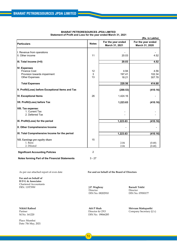| (Rs. in Lakhs)                                    |                  |                                             |                                      |
|---------------------------------------------------|------------------|---------------------------------------------|--------------------------------------|
| <b>Particulars</b>                                | <b>Notes</b>     | For the year ended<br>March 31, 2021        | For the year ended<br>March 31, 2020 |
| I. Revenue from operations                        |                  |                                             |                                      |
| II. Other income                                  | 11               | 20.03                                       | 4.52                                 |
| III. Total Income (I+II)                          |                  | 20.03                                       | 4.52                                 |
| <b>IV. Expenses</b>                               |                  |                                             |                                      |
| <b>Finance Cost</b>                               | 12               | 4.94                                        | 4.56                                 |
| Provision towards impairment                      | 3                | 197.41                                      | 102.34                               |
| <b>Other Expenses</b>                             | 13               | 18.21                                       | 307.78                               |
| <b>Total Expenses</b>                             |                  | 220.56                                      | 414.68                               |
| V. Profit/(Loss) before Exceptional Items and Tax |                  | (200.53)                                    | (410.16)                             |
| <b>VI. Exceptional Items</b>                      | 26               | 1,424.16                                    |                                      |
| VII. Profit/(Loss) before Tax                     |                  | 1,223.63                                    | (410.16)                             |
| VIII. Tax expense:                                |                  |                                             |                                      |
| 1. Current Tax                                    |                  |                                             |                                      |
| 2. Deferred Tax                                   |                  |                                             |                                      |
| IX. Profit/(Loss) for the period                  |                  | 1,223.63                                    | (410.16)                             |
| X. Other Comprehensive Income                     |                  |                                             |                                      |
| XI. Total Comprehensive Income for the period     |                  |                                             |                                      |
|                                                   |                  | 1,223.63                                    | (410.16)                             |
| XII. Earnings per equity share                    | 15               |                                             |                                      |
| 1. Basic                                          |                  | 2.04                                        | (0.68)                               |
| 2. Diluted                                        |                  | 2.04                                        | (0.68)                               |
| <b>Significant Accounting Policies</b>            | $\overline{2}$   |                                             |                                      |
| Notes forming Part of the Financial Statements    | $3 - 27$         |                                             |                                      |
|                                                   |                  |                                             |                                      |
| As per our attached report of even date           |                  | For and on behalf of the Board of Directors |                                      |
| For and on behalf of                              |                  |                                             |                                      |
| <b>B</b> D G & Associates                         |                  |                                             |                                      |
| <b>Chartered Accountants</b>                      |                  |                                             |                                      |
| FRN. 119739W                                      | J.P. Waghray     |                                             | Barnali Tokhi                        |
|                                                   | Director         |                                             | Director                             |
|                                                   | DIN No. 08202910 |                                             | DIN No. 07850177                     |

#### **BHARAT PETRORESOURCES JPDA LIMITED Statement of Profit and Loss for the year ended March 31, 2021**

Place: Mumbai Date: 7th May, 2021

Partner Director & CFO Company Secretary (I/c) M.No. 161220 Company Secretary (I/c) DIN No. 09066285

**Nikhil Rathod Atit P Shah Shivram Mattaparthi**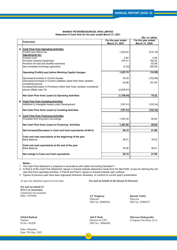|   | (Rs. in Lakhs)                                                                                                  |                    |                         |
|---|-----------------------------------------------------------------------------------------------------------------|--------------------|-------------------------|
|   | <b>Particulars</b>                                                                                              | For the year ended | For the year ended      |
|   |                                                                                                                 | March 31, 2021     | March 31, 2020          |
| A | <b>Cash Flow from Operating Activities</b><br>Profit/(Loss) before tax<br><b>Adjustments for:</b>               | 1,223.63           | (410.16)                |
|   | <b>Finance Cost</b><br>Provision towards impairment<br>Provision for bad and doubtful advances                  | 4.94<br>197.41     | 4.56<br>102.34<br>83.38 |
|   | Net unrealised exchange (gain)/loss                                                                             | (2.24)             | 205.59                  |
|   | <b>Operating Profit/(Loss) before Working Capital changes</b>                                                   | 1,423.74           | (14.29)                 |
|   | Decrease/(Increase) in Current Assets<br>(Decrease)/Increase in Current Liabilities (other than forex variation | 34.35              | (102.98)                |
|   | considered above)<br>Increase/(Decrease) in Provisions (other than forex variation considered                   | 20.98              | 191.59                  |
|   | above) (Refer note 10)                                                                                          | (2,638.51)         |                         |
|   | Net Cash Flow from/ (used in) Operating Activities                                                              | (1, 159.44)        | 74.32                   |
| в | <b>Cash Flow from Investing Activities</b><br>Additions to Intangible Assets under Development                  | (197.41)           | (102.34)                |
|   | Net Cash Flow from/ (used in) Investing Activities                                                              | (197.41)           | (102.34)                |
| C | <b>Cash Flow from Financing Activities</b><br>Proceeds from long-term borrowings                                | 1,397.00           | 50.00                   |
|   | Net Cash Flow from/ (used in) Financing Activities                                                              | 1,397.00           | 50.00                   |
|   | Net Increase/(Decrease) in Cash and Cash equivalents (A+B+C)                                                    | 40.15              | 21.98                   |
|   | Cash and cash equivalents at the beginning of the year<br><b>Bank Balance</b>                                   | 38.21              | 16.23                   |
|   | Cash and cash equivalents at the end of the year<br><b>Bank Balance</b>                                         | 78.36              | 38.21                   |
|   | Net change in Cash and Cash equivalents                                                                         | 40.15              | 21.98                   |

#### **BHARAT PETRORESOURCES JPDA LIMITED Statement of Cash flow for the year ended March 31, 2021**

**Notes:-**

1 The Cash Flow Statement is prepared in accordance with Indian Accounting Standard 7.

2 In Part-A of the Cash Flow Statement, figures in bracket indicate deductions made from the Net Profit / (Loss) for deriving the net cash flow from operating activities. In Part-B and Part-C, figures in bracket indicate cash outflows.

3 Figures of previous year have been regrouped wherever necessary, to conform to current year's presentation.

**For and on behalf of B D G & Associates** Chartered Accountants

As per our attached report of even date **For and on behalf of the Board of Directors**

FRN. 119739W **J.P. Waghray Barnali Tokhi** Director<br>DIN No. 08202910 DIN No. 07850177 DIN No. 08202910

Place: Mumbai Date: 7th May, 2021

M.No. 161220 DIN No. 09066285

**Nikhil Rathod Atit P Shah Shivram Mattaparthi** Company Secretary (I/c)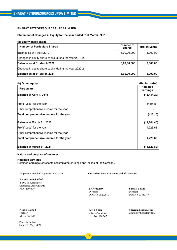#### **Statement of Changes in Equity for the year ended 31st March, 2021**

#### **(a) Equity share capital**

| <b>Number of Particulars Shares</b>                     | Number of<br><b>Shares</b> | (Rs. in Lakhs) |
|---------------------------------------------------------|----------------------------|----------------|
| Balance as at 1 April 2019                              | 6,00,00,000                | 6,000.00       |
| Changes in equity share capital during the year 2019-20 |                            |                |
| Balance as at 31 March 2020                             | 6,00,00,000                | 6,000.00       |
| Changes in equity share capital during the year 2020-21 |                            |                |
| Balance as at 31 March 2021                             | 6,00,00,000                | 6,000.00       |

| (b) Other equity                        | (Rs. in Lakhs)              |
|-----------------------------------------|-----------------------------|
| <b>Particulars</b>                      | <b>Retained</b><br>earnings |
| Balance at April 1, 2019                | (12, 434.29)                |
| Profit/(Loss) for the year              | (410.16)                    |
| Other comprehensive income for the year |                             |
| Total comprehensive income for the year | (410.16)                    |
| Balance at March 31, 2020               | (12, 844.45)                |
| Profit/(Loss) for the year              | 1,223.63                    |
| Other comprehensive income for the year |                             |
| Total comprehensive income for the year | 1,223.63                    |
| Balance at March 31, 2021               | (11,620.82)                 |

#### **Nature and purpose of reserves**

#### **Retained earnings**

Retained earnings represents accumulated earnings and losses of the Company.

As per our attached report of even date **For and on behalf of the Board of Directors**

**For and on behalf of B D G & Associates** Chartered Accountants

FRN. 119739W **J.P. Waghray Barnali Tokhi** DIN No. 08202910

Director DIN No. 08202910 DIN No. 07850177

Place: Mumbai Date: 7th May, 2021

Partner Director & CFO Company Secretary (I/c)<br>M.No. 161220 DIN No. 09066285 DIN No. 09066285

**Nikhil Rathod Atit P Shah Shivram Mattaparthi**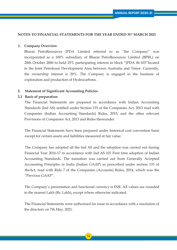## **NOTES TO FINANCIAL STATEMENTS FOR THE YEAR ENDED 31st MARCH 2021**

## **1. Company Overview**

 Bharat PetroResources JPDA Limited referred to as "the Company" was incorporated as a 100% subsidiary of Bharat PetroResources Limited (BPRL) on 28th October 2006 to hold 25% participating interest in block "JPDA 06-103"located in the Joint Petroleum Development Area between Australia and Timor. Currently, the ownership interest is 20%. The Company is engaged in the business of exploration and production of Hydrocarbons.

## **2. Statement of Significant Accounting Policies**

## **2.1 Basis of preparation**

 The Financial Statements are prepared in accordance with Indian Accounting Standards (Ind AS) notified under Section 133 of the Companies Act, 2013 read with Companies (Indian Accounting Standards) Rules, 2015; and the other relevant Provisions of Companies Act, 2013 and Rules thereunder.

 The Financial Statements have been prepared under historical cost convention basis except for certain assets and liabilities measured at fair value.

 The Company has adopted all the Ind AS and the adoption was carried out during Financial Year 2016-17 in accordance with Ind AS 101 First time adoption of Indian Accounting Standards. The transition was carried out from Generally Accepted Accounting Principles in India (Indian GAAP) as prescribed under section 133 of theAct, read with Rule 7 of the Companies (Accounts) Rules, 2014, which was the "Previous GAAP".

 The Company's presentation and functional currency is INR. All values are rounded to the nearest Lakh (Rs. Lakh), except where otherwise indicated.

 The Financial Statements were authorized for issue in accordance with a resolution of the directors on 7th May, 2021.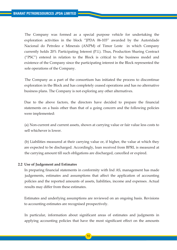The Company was formed as a special purpose vehicle for undertaking the exploration activities in the block "JPDA 06-103" awarded by the Autoridade Nacional do Petroleo e Minerais (ANPM) of Timor Leste in which Company currently holds 20% Participating Interest (P.I.). Thus, Production Sharing Contract ("PSC") entered in relation to the Block is critical to the business model and existence of the Company since the participating interest in the Block represented the sole operations of the Company.

 The Company as a part of the consortium has initiated the process to discontinue exploration in the Block and has completely ceased operations and has no alternative business plans. The Company is not exploring any other alternatives.

 Due to the above factors, the directors have decided to prepare the financial statements on a basis other than that of a going concern and the following policies were implemented:

 (a) Non-current and current assets, shown at carrying value or fair value less costs to sell whichever is lower.

 (b) Liabilities measured at their carrying value or, if higher, the value at which they are expected to be discharged. Accordingly, loan received from BPRL is measured at the carrying amount till such obligations are discharged, cancelled or expired.

## **2.2 Use of Judgement and Estimates**

 In preparing financial statements in conformity with Ind AS, management has made judgements, estimates and assumptions that affect the application of accounting policies and the reported amounts of assets, liabilities, income and expenses. Actual results may differ from these estimates.

 Estimates and underlying assumptions are reviewed on an ongoing basis. Revisions to accounting estimates are recognised prospectively.

 In particular, information about significant areas of estimates and judgments in applying accounting policies that have the most significant effect on the amounts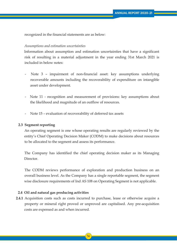recognized in the financial statements are as below:

#### *Assumptions and estimation uncertainties*

 Information about assumption and estimation uncertainties that have a significant risk of resulting in a material adjustment in the year ending 31st March 2021 is included in below notes:

- Note 3 impairment of non-financial asset: key assumptions underlying recoverable amounts including the recoverability of expenditure on intangible asset under development.
- Note 11 recognition and measurement of provisions: key assumptions about the likelihood and magnitude of an outflow of resources.
- Note 15 evaluation of recoverability of deferred tax assets

#### **2.3 Segment reporting**

 An operating segment is one whose operating results are regularly reviewed by the entity's Chief Operating Decision Maker (CODM) to make decisions about resources to be allocated to the segment and assess its performance.

 The Company has identified the chief operating decision maker as its Managing Director

 The CODM reviews performance of exploration and production business on an overall business level. As the Company has a single reportable segment, the segment wise disclosure requirements of Ind AS 108 on Operating Segment is not applicable.

#### **2.4 Oil and natural gas producing activities**

**2.4.1** Acquisition costs such as costs incurred to purchase, lease or otherwise acquire a property or mineral right proved or unproved are capitalised. Any pre-acquisition costs are expensed as and when incurred.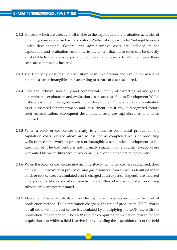- **2.4.2** All costs which are directly attributable to the exploration and evaluation activities of oil and gas are capitalised as Exploratory Wells-in-Progress under "intangible assets under development". General and administrative costs are included in the exploration and evaluation costs only to the extent that those costs can be directly attributable to the related exploration and evaluation assets. In all other cases, these costs are expensed as incurred.
- **2.4.3** The Company classifies the acquisition costs, exploration and evaluation assets as tangible asset or intangible asset according to nature of assets acquired.
- **2.4.4** Once the technical feasibility and commercial viability of extracting oil and gas is determinable, exploration and evaluation assets are classified as Development Wells in-Progress under"intangible assets under development". Exploration and evaluation asset is assessed for impairment, and impairment loss if any, is recognized, before such reclassification. Subsequent development costs are capitalised as and when incurred.
- **2.4.5** When a block or cost centre is ready to commence commercial production, the capitalised costs referred above are reclassified as completed wells or producing wells from capital work in progress or intangible assets under development as the case may be. The cost centre is not normally smaller than a country except where warranted by major difference in economic, fiscal or other factors in the country.
- **2.4.6** When the block or cost centre in which the above mentioned cost are capitalised, does not result in discovery of proved oil and gas resources from all wells identified in the block or cost centre, accumulated cost is charged as an expense. Expenditure incurred on exploratory blocks or cost centre which are written off in past and start producing subsequently are not reinstated.
- **2.4.7** Depletion charge is calculated on the capitalised cost according to the unit of production method. The depreciation charge or the unit of production (UOP) charge for all costs within a cost centre is calculated by multiplying the UOP rate with the production for the period. The UOP rate for computing depreciation charge for the acquisition cost within a field is arrived at by dividing the acquisition cost of the field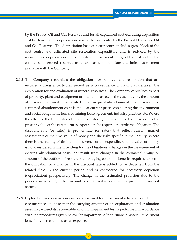by the Proved Oil and Gas Reserves and for all capitalised cost excluding acquisition cost by dividing the depreciation base of the cost centre by the Proved Developed Oil and Gas Reserves. The depreciation base of a cost centre includes gross block of the cost centre and estimated site restoration expenditure and is reduced by the accumulated depreciation and accumulated impairment charge of the cost centre. The estimates of proved reserves used are based on the latest technical assessment available with the Company.

- **2.4.8** The Company recognizes the obligations for removal and restoration that are incurred during a particular period as a consequence of having undertaken the exploration for and evaluation of mineral resources. The Company capitalises as part of property, plant and equipment or intangible asset, as the case may be, the amount of provision required to be created for subsequent abandonment. The provision for estimated abandonment costs is made at current prices considering the environment and social obligations, terms of mining lease agreement, industry practice, etc. Where the effect of the time value of money is material, the amount of the provision is the present value of the expenditures expected to be required to settle the obligation. The discount rate (or rates) is pre-tax rate (or rates) that reflect current market assessments of the time value of money and the risks specific to the liability. Where there is uncertainty of timing on incurrence of the expenditure, time value of money is not considered while providing for the obligations. Changes in the measurement of existing abandonment costs that result from changes in the estimated timing or amount of the outflow of resources embodying economic benefits required to settle the obligation or a change in the discount rate is added to, or deducted from the related field in the current period and is considered for necessary depletion (depreciation) prospectively. The change in the estimated provision due to the periodic unwinding of the discount is recognized in statement of profit and loss as it occurs.
- **2.4.9** Exploration and evaluation assets are assessed for impairment when facts and circumstances suggest that the carrying amount of an exploration and evaluation asset may exceed its recoverable amount. Impairment test is performed in accordance with the procedures given below for impairment of non-financial assets. Impairment loss, if any is recognized as an expense.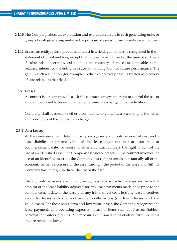- **2.4.10** The Company allocates exploration and evaluation assets to cash generating units or group of cash generating units for the purpose of assessing such assets for impairment.
- **2.4.11** In case an entity, sells a part of its interest in a field, gain or loss is recognised in the statement of profit and loss, except that no gain is recognised at the time of such sale if substantial uncertainty exists about the recovery of the costs applicable to the retained interest or the entity has substantial obligation for future performance. The gain in such a situation (for example, in the exploratory phase) is treated as recovery of cost related to that field.

#### **2.5 Leases**

 A contract is, or contains, a lease if the contract conveys the right to control the use of an identified asset to lessee for a period of time in exchange for consideration.

 Company shall reassess whether a contract is, or contains, a lease only if the terms and conditions of the contract are changed.

#### **2.5.1 As a Lessee**

 At the commencement date, company recognises a right-of-use asset at cost and a lease liability at present value of the lease payments that are not paid at commencement date. To assess whether a contract conveys the right to control the use of an identified asset, the Company assesses whether: (i) the contract involves the use of an identified asset (ii) the Company has right to obtain substantially all of the economic benefits from use of the asset throught the period of the lease and (iii) the Company has the right to direct the use of the asset.

 The right-of-use assets are initially recognized at cost, which comprises the initial amount of the lease liability adjusted for any lease payments made at or prior to the commencement date of the lease plus any initial direct costs less any lease incentives except for leases with a term of twelve months or less (short-term leases) and low value leases. For these short-term and low value leases, the Company recognizes the lease payments as a operating expenses. Lease of items such as IT assets (tablets, personal computers, mobiles, POS machines etc.), small items of office furniture items etc. are treated as low value.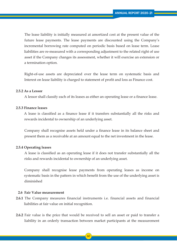The lease liability is initially measured at amortized cost at the present value of the future lease payments. The lease payments are discounted using the Company's incremental borrowing rate computed on periodic basis based on lease term. Lease liabilities are re-measured with a corresponding adjustment to the related right of use asset if the Company changes its assessment, whether it will exercise an extension or a termination option.

 Right-of-use assets are depreciated over the lease term on systematic basis and Interest on lease liability is charged to statement of profit and loss as Finance cost.

#### **2.5.2 As a Lessor**

A lessor shall classify each of its leases as either an operating lease or a finance lease.

#### **2.5.3 Finance leases**

 A lease is classified as a finance lease if it transfers substantially all the risks and rewards incidental to ownership of an underlying asset.

 Company shall recognise assets held under a finance lease in its balance sheet and present them as a receivable at an amount equal to the net investment in the lease.

## **2.5.4 Operating leases**

 A lease is classified as an operating lease if it does not transfer substantially all the risks and rewards incidental to ownership of an underlying asset.

 Company shall recognise lease payments from operating leases as income on systematic basis in the pattern in which benefit from the use of the underlying asset is diminished

#### **2.6 Fair Value measurement**

- **2.6.1** The Company measures financial instruments i.e. financial assets and financial liabilities at fair value on initial recognition.
- **2.6.2** Fair value is the price that would be received to sell an asset or paid to transfer a liability in an orderly transaction between market participants at the measurement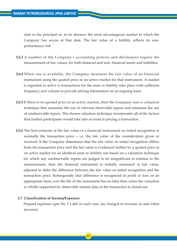date in the principal or, in its absence, the most advantageous market to which the Company has access at that date. The fair value of a liability reflects its non performance risk

- **2.6.3** A number of the Company's accounting policies and disclosures require the measurement of fair values, for both financial and non- financial assets and liabilities.
- **2.6.4** When one is available, the Company measures the fair value of an financial instrument using the quoted price in an active market for that instrument. A market is regarded as active is transactions for the asset or liability take place with sufficient frequency and volume to provide pricing information on an ongoing basis.
- **2.6.5** If there is no quoted price in an active market, then the Company uses a valuation technique that maximise the use of relevant observable inputs and minimise the use of unobservable inputs. The chosen valuation technique incorporates all of the factors that market participants would take into account in pricing a transaction.
- **2.6.6** The best estimate of the fair value of a financial instrument on initial recognition is normally the transaction price – i.e. the fair value of the consideration given or received. If the Company determines that the fair value on initial recognition differs from the transaction price and the fair value is evidenced neither by a quoted price in an active market for an identical asset or liability nor based on a valuation technique for which any unobservable inputs are judged to be insignificant in relation to the measurement, then the financial instrument is initially measured at fair value, adjusted to defer the difference between the fair value on initial recognition and the transaction price. Subsequently that difference is recognised in profit or loss on an appropriate basis over the life of the instrument but no later than when the valuation is wholly supported by observable market data or the transaction is closed out.

## **2.7 Classification of Income/Expenses**

 Prepaid expenses upto Rs. 5 Lakh in each case, are charged to revenue as and when incurred.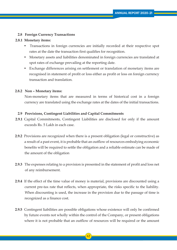## **2.8 Foreign Currency Transactions**

#### **2.8.1 Monetary items:**

- Transactions in foreign currencies are initially recorded at their respective spot rates at the date the transaction first qualifies for recognition.
- Monetary assets and liabilities denominated in foreign currencies are translated at spot rates of exchange prevailing at the reporting date.
- Exchange differences arising on settlement or translation of monetary items are recognised in statement of profit or loss either as profit or loss on foreign currency transaction and translation.

#### **2.8.2 Non – Monetary items:**

 Non-monetary items that are measured in terms of historical cost in a foreign currency are translated using the exchange rates at the dates of the initial transactions.

#### **2.9 Provisions, Contingent Liabilities and Capital Commitments**

- **2.9.1** Capital Commitments, Contingent Liabilities are disclosed for only if the amount exceeds Rs. 5 Lakh in each case.
- **2.9.2** Provisions are recognized when there is a present obligation (legal or constructive) as a result of a past event, it is probable that an outflow of resources embodying economic benefits will be required to settle the obligation and a reliable estimate can be made of the amount of the obligation
- **2.9.3** The expenses relating to a provision is presented in the statement of profit and loss net of any reimbursement.
- **2.9.4** If the effect of the time value of money is material, provisions are discounted using a current pre-tax rate that reflects, when appropriate, the risks specific to the liability. When discounting is used, the increase in the provision due to the passage of time is recognized as a finance cost.
- **2.9.5** Contingent liabilities are possible obligations whose existence will only be confirmed by future events not wholly within the control of the Company, or present obligations where it is not probable that an outflow of resources will be required or the amount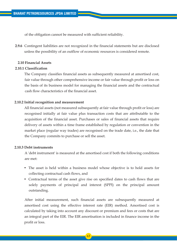of the obligation cannot be measured with sufficient reliability.

**2.9.6** Contingent liabilities are not recognized in the financial statements but are disclosed unless the possibility of an outflow of economic resources is considered remote.

#### **2.10 Financial Assets**

#### **2.10.1 Classification**

 The Company classifies financial assets as subsequently measured at amortised cost, fair value through other comprehensive income or fair value through profit or loss on the basis of its business model for managing the financial assets and the contractual cash flow characteristics of the financial asset.

## **2.10.2 Initial recognition and measurement**

 All financial assets (not measured subsequently at fair value through profit or loss) are recognised initially at fair value plus transaction costs that are attributable to the acquisition of the financial asset. Purchases or sales of financial assets that require delivery of assets within a time frame established by regulation or convention in the market place (regular way trades) are recognised on the trade date, i.e., the date that the Company commits to purchase or sell the asset.

## **2.10.3 Debt instruments**

 A 'debt instrument' is measured at the amortised cost if both the following conditions are met:

- The asset is held within a business model whose objective is to hold assets for collecting contractual cash flows, and
- Contractual terms of the asset give rise on specified dates to cash flows that are solely payments of principal and interest (SPPI) on the principal amount outstanding.

 After initial measurement, such financial assets are subsequently measured at amortised cost using the effective interest rate (EIR) method. Amortised cost is calculated by taking into account any discount or premium and fees or costs that are an integral part of the EIR. The EIR amortisation is included in finance income in the profit or loss.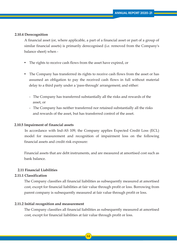#### **2.10.4 Derecognition**

 A financial asset (or, where applicable, a part of a financial asset or part of a group of similar financial assets) is primarily derecognised (i.e. removed from the Company's balance sheet) when -

- The rights to receive cash flows from the asset have expired, or
- The Company has transferred its rights to receive cash flows from the asset or has assumed an obligation to pay the received cash flows in full without material delay to a third party under a 'pass-through' arrangement; and either:
	- The Company has transferred substantially all the risks and rewards of the asset, or
	- The Company has neither transferred nor retained substantially all the risks and rewards of the asset, but has transferred control of the asset.

## **2.10.5 Impairment of financial assets**

 In accordance with Ind-AS 109, the Company applies Expected Credit Loss (ECL) model for measurement and recognition of impairment loss on the following financial assets and credit risk exposure:

 Financial assets that are debt instruments, and are measured at amortised cost such as bank balance.

## **2.11 Financial Liabilities**

## **2.11.1 Classification**

 The Company classifies all financial liabilities as subsequently measured at amortised cost, except for financial liabilities at fair value through profit or loss. Borrowing from parent company is subsequently measured at fair value through profit or loss.

#### **2.11.2 Initial recognition and measurement**

 The Company classifies all financial liabilities as subsequently measured at amortised cost, except for financial liabilities at fair value through profit or loss.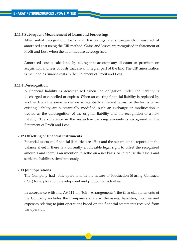#### **2.11.3 Subsequent Measurement of Loans and borrowings**

 After initial recognition, loans and borrowings are subsequently measured at amortised cost using the EIR method. Gains and losses are recognised in Statement of Profit and Loss when the liabilities are derecognised.

 Amortised cost is calculated by taking into account any discount or premium on acquisition and fees or costs that are an integral part of the EIR. The EIR amortisation is included as finance costs in the Statement of Profit and Loss.

#### **2.11.4 Derecognition**

 A financial liability is derecognised when the obligation under the liability is discharged or cancelled or expires. When an existing financial liability is replaced by another from the same lender on substantially different terms, or the terms of an existing liability are substantially modified, such an exchange or modification is treated as the derecognition of the original liability and the recognition of a new liability. The difference in the respective carrying amounts is recognised in the Statement of Profit and Loss.

## **2.12 Offsetting of financial instruments**

 Financial assets and financial liabilities are offset and the net amount is reported in the balance sheet if there is a currently enforceable legal right to offset the recognised amounts and there is an intention to settle on a net basis, or to realise the assets and settle the liabilities simultaneously.

#### **2.13 Joint operations**

 The Company had Joint operations in the nature of Production Sharing Contracts (PSC) for exploration, development and production activities.

 In accordance with Ind AS 111 on "Joint Arrangements", the financial statements of the Company includes the Company's share in the assets, liabilities, incomes and expenses relating to joint operations based on the financial statements received from the operator.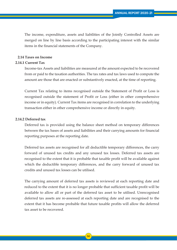The income, expenditure, assets and liabilities of the Jointly Controlled Assets are merged on line by line basis according to the participating interest with the similar items in the financial statements of the Company.

## **2.14 Taxes on Income**

#### **2.14.1.Current Tax**

 Income-tax Assets and liabilities are measured at the amount expected to be recovered from or paid to the taxation authorities. The tax rates and tax laws used to compute the amount are those that are enacted or substantively enacted, at the time of reporting.

 Current Tax relating to items recognised outside the Statement of Profit or Loss is recognised outside the statement of Profit or Loss (either in other comprehensive income or in equity). Current Tax items are recognised in correlation to the underlying transaction either in other comprehensive income or directly in equity.

## **2.14.2.Deferred tax**

 Deferred tax is provided using the balance sheet method on temporary differences between the tax bases of assets and liabilities and their carrying amounts for financial reporting purposes at the reporting date.

 Deferred tax assets are recognised for all deductible temporary differences, the carry forward of unused tax credits and any unused tax losses. Deferred tax assets are recognised to the extent that it is probable that taxable profit will be available against which the deductible temporary differences, and the carry forward of unused tax credits and unused tax losses can be utilised.

 The carrying amount of deferred tax assets is reviewed at each reporting date and reduced to the extent that it is no longer probable that sufficient taxable profit will be available to allow all or part of the deferred tax asset to be utilised. Unrecognised deferred tax assets are re-assessed at each reporting date and are recognised to the extent that it has become probable that future taxable profits will allow the deferred tax asset to be recovered.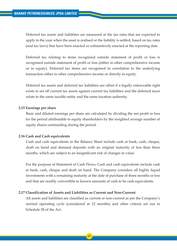Deferred tax assets and liabilities are measured at the tax rates that are expected to apply in the year when the asset is realised or the liability is settled, based on tax rates (and tax laws) that have been enacted or substantively enacted at the reporting date.

 Deferred tax relating to items recognised outside statement of profit or loss is recognised outside statement of profit or loss (either in other comprehensive income or in equity). Deferred tax items are recognised in correlation to the underlying transaction either in other comprehensive income or directly in equity.

 Deferred tax assets and deferred tax liabilities are offset if a legally enforceable right exists to set off current tax assets against current tax liabilities and the deferred taxes relate to the same taxable entity and the same taxation authority.

#### **2.15 Earnings per share**

 Basic and diluted earnings per share are calculated by dividing the net profit or loss for the period attributable to equity shareholders by the weighted average number of equity shares outstanding during the period.

#### **2.16 Cash and Cash equivalents**

 Cash and cash equivalents in the Balance Sheet include cash at bank, cash, cheque, draft on hand and demand deposits with an original maturity of less than three months, which are subject to an insignificant risk of changes in value.

 For the purpose of Statement of Cash Flows, Cash and cash equivalents include cash at bank, cash, cheque and draft on hand. The Company considers all highly liquid investments with a remaining maturity at the date of purchase of three months or less and that are readily convertible to known amounts of cash to be cash equivalents.

## **2.17 Classification of Assets and Liabilities as Current and Non-Current:**

 All assets and liabilities are classified as current or non-current as per the Company's normal operating cycle (considered at 12 months) and other criteria set out in Schedule III of the Act.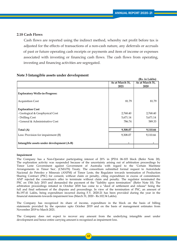## **2.18 Cash Flows**

 Cash flows are reported using the indirect method, whereby net profit before tax is adjusted for the effects of transactions of a non-cash nature, any deferrals or accruals of past or future operating cash receipts or payments and item of income or expenses associated with investing or financing cash flows. The cash flows from operating, investing and financing activities are segregated.

| ັ                                         |                 | (Rs. in Lakhs)  |
|-------------------------------------------|-----------------|-----------------|
|                                           | As at March 31, | As at March 31, |
|                                           | 2021            | 2020            |
| <b>Exploratory Wells-in-Progress:</b>     |                 |                 |
| <b>Acquisition Cost</b>                   | 81.79           | 81.79           |
| <b>Exploration Cost</b>                   |                 |                 |
| - Geological & Geophysical Cost           | 2,768.40        | 2,768.40        |
| - Drilling Cost                           | 5,671.14        | 5,671.14        |
| - General & Administrative Cost           | 786.74          | 589.33          |
|                                           |                 |                 |
| Total (A)                                 | 9,308.07        | 9,110.66        |
| Less: Provision for impairment (B)        | 9,308.07        | 9,110.66        |
| Intangible assets under development (A-B) |                 |                 |

## **Note 3 Intangible assets under development**

#### **Impairment**

The Company has a Non-Operator participating interest of 20% in JPDA 06-103 block (Refer Note 20). The exploration activity was suspended because of the uncertainty arising out of arbitration proceedings by Timor Leste Government against Government of Australia with regard to the 'Certain Maritime Arrangements in Timor Sea', (CMATS) Treaty. The consortium submitted formal request to Autoridade Nacional do Petroleo e Minerais (ANPM) of Timor Leste, the Regulator towards termination of Production Sharing Contract (PSC) for consent, without claim or penalty, citing expenditure in excess of commitment. ANP rejected the consotium's offer to terminate without claim and penalty. The regulator terminated the PSC on 15th July 2015 and demanded the payment of the "liability upon termination" (Refer Note 10). The arbitration proceedings intiated in October 2018 has come to a "deed of settlement and release" being the full and final setlement of the disputes and proceedings. In view of the termination of PSC, an amount of Rs.197.41 Lakhs, being expenditure incurred during F.Y. 2020-21 has been provided during the year in the financial statements towards impairment loss (March 31, 2020 - Rs.102.34 Lakhs).

The Company has recognized its share of income, expenditure in the block on the basis of billing statements provided by the operator upto October 2019 and on the basis of management estimates from November 2019 to March 2021.

The Company does not expect to recover any amount from the underlying intangible asset under development and hence entire carrying amount is recognised as impairment loss.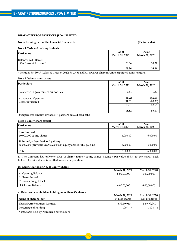#### **Notes forming part of the Financial Statements** (Rs. in Lakhs)

#### **Note 4 Cash and cash equivalents**

| Particulars                                        | As at          | As at          |
|----------------------------------------------------|----------------|----------------|
|                                                    | March 31, 2021 | March 31, 2020 |
| <b>Balances with Banks:</b><br>On Current Account* | 78.36          | 38.21          |
|                                                    | 78.36          | 38.21          |

\* Includes Rs. 30.49 Lakhs (31 March 2020: Rs.29.56 Lakhs) towards share in Unincorporated Joint Venture.

#### **Note 5 Other current assets**

| <b>Particulars</b>                       | As at<br>March 31, 2021 | As at<br>March 31, 2020 |
|------------------------------------------|-------------------------|-------------------------|
| Balance with government authorities      | 0.51                    | 0.51                    |
| Advance to Operator<br>Less: Provision # | 99.62<br>(81.31)        | 136.04<br>(83.38)       |
|                                          | 18.31                   | 52.66                   |
|                                          | 18.82                   | 53.17                   |

# Represents amount towards JV partners default cash calls

#### **Note 6 Equity share capital**

| <b>Particulars</b>                                                                                      | As at<br>March 31, 2021 | As at<br>March 31, 2020 |
|---------------------------------------------------------------------------------------------------------|-------------------------|-------------------------|
| Li. Authorised<br>$60,000,000$ equity shares                                                            | 6,000.00                | 6,000.00                |
| ii. Issued, subscribed and paid-up<br>60,000,000 (previous year 60,000,000) equity shares fully paid-up | 6,000.00                | 6,000.00                |
| Total                                                                                                   | 6.000.00                | 6.000.00                |

iii. The Company has only one class of shares namely equity shares having a par value of Rs. 10 per share. Each holder of equity shares is entitled to one vote per share.

#### **iv. Reconciliation of No. of Equity Shares**

|                       | March 31, 2021 | March 31, 2020 |
|-----------------------|----------------|----------------|
| A. Opening Balance    | 6,00,00,000    | 6,00,00,000    |
| B. Shares Issued      |                |                |
| C. Shares Bought Back |                |                |
| D. Closing Balance    | 6,00,00,000    | 6,00,00,000    |

#### **v. Details of shareholders holding more than 5% shares**

|                                                                                                    | March 31, 2021 | <b>March 31, 2020</b> |
|----------------------------------------------------------------------------------------------------|----------------|-----------------------|
| l Name of shareholder                                                                              | No. of shares  | No. of shares         |
| l Bharat PetroResources Limited                                                                    | 5,99,99,940    | 5,99,99,940           |
| Percentage of holding                                                                              | $100\%$ #      | $100\%$ #             |
| $\#$ 60 $\text{Cl}_{2}$ and 1.111. M. $\#$ $\text{Cl}_{2}$ and $\text{Cl}_{2}$ and $\text{Cl}_{2}$ |                |                       |

# 60 Shares held by Nominee Shareholders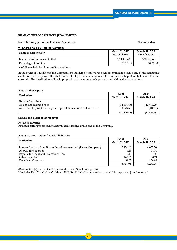#### **Notes forming part of the Financial Statements (Rs. in Lakhs)**

#### **vi. Shares held by Holding Company**

| l Name of shareholder                | <b>March 31, 2021</b> | <b>March 31, 2020</b> |
|--------------------------------------|-----------------------|-----------------------|
|                                      | No. of shares         | No. of shares         |
| <b>Bharat PetroResources Limited</b> | 5,99,99,940           | 5,99,99,940           |
| Percentage of holding                | 100%<br>#             | 100%<br>#             |

# 60 Shares held by Nominee Shareholders

In the event of liquiditionof the Company, the holders of equity share willbe entitled to receive any of the remaining assets of the Company, after distributionof all preferential amounts. However, no such preferential amounts exist currently. The distribution will be in proportion to the number of equity shares held by the shareholders.

#### **Note 7 Other Equity**

| Particulars                                                                                                                  | As at<br>March 31, 2021 | As at<br><b>March 31, 2020</b> |
|------------------------------------------------------------------------------------------------------------------------------|-------------------------|--------------------------------|
| <b>Retained earnings</b><br>As per last Balance Sheet<br>Add: Profit/(Loss) for the year as per Statement of Profit and Loss | (12,844,45)<br>1.223.63 | (12, 434.29)<br>(410.16)       |
|                                                                                                                              | (11,620.82)             | (12, 844.45)                   |

#### **Nature and purpose of reserves**

#### **Retained earnings**

Retained earnings represents accumulated earnings and losses of the Company.

#### **Note 8 Current - Other financial liabilities**

| Particulars                                                         | As at          | As at          |
|---------------------------------------------------------------------|----------------|----------------|
|                                                                     | March 31, 2021 | March 31, 2020 |
| Interest free loan from Bharat PetroResources Ltd. (Parent Company) | 5,454.20       | 4,057.20       |
| Accrual for expenses                                                | 3.18           | 11.50          |
| Payable for Legal and Professional fees                             | 0.11           | 1.80           |
| Other payables*                                                     | 160.86         | 90.74          |
| Payable to Operator                                                 | 99.62          | 136.04         |
|                                                                     | 5,717.98       | 4,297.28       |

(Refer note 8 (a) for details of Dues to Micro and Small Enterprises)

"\*Includes Rs. 151.63 Lakhs (31 March 2020: Rs. 81.13 Lakhs) towards share in Unincorporated Joint Venture."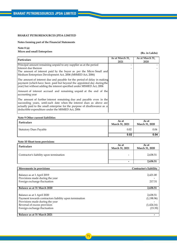#### **Notes forming part of the Financial Statements**

**Note 8 (a) Micro and small Enterprises** 

#### **(Rs. in Lakhs)**

| Particulars                                                                                                                                                                                                                                                                     | As at March 31,<br>2021 | As at March 31,<br>2020 |
|---------------------------------------------------------------------------------------------------------------------------------------------------------------------------------------------------------------------------------------------------------------------------------|-------------------------|-------------------------|
| Principal amount remaining unpaid to any supplier as at the period<br>Interest due thereon<br>The amount of interest paid by the buyer as per the Micro Small and<br>Medium Enterprises Development Act, 2006 (MSMED Act, 2006)                                                 |                         |                         |
| The amount of interest due and payable for the period of delay in making<br>payment (which have been paid but beyond the appointed day during the<br>year) but without adding the interest specified under MSMED Act, 2006                                                      |                         |                         |
| Amount of interest accrued and remaining unpaid at the end of the<br>accounting year                                                                                                                                                                                            |                         |                         |
| The amount of further interest remaining due and payable even in the<br>succeeding years, until such date when the interest dues as above are<br>actually paid to the small enterprise for the purpose of disallowance as a<br>deductible expenditure under the MSMED Act, 2006 |                         |                         |

#### **Note 9 Other current liabilities**

| Particulars                   | As at<br>March 31, 2021 | As at<br><b>March 31, 2020</b> |
|-------------------------------|-------------------------|--------------------------------|
| <b>Statutory Dues Payable</b> | 0.02                    | 0.04                           |
|                               | 0.02                    | 0.04                           |

#### **Note 10 Short term provisions**

| Particulars                             | As at<br>March 31, 2021  | As at<br>March 31, 2020 |
|-----------------------------------------|--------------------------|-------------------------|
| Contractor's liability upon termination | $\overline{\phantom{a}}$ | 2,638.51                |
|                                         | ۰                        | 2,638.51                |

| Movements in provisions                                | Contractor's liability |
|--------------------------------------------------------|------------------------|
|                                                        |                        |
| Balance as at 1 April 2019                             | 2,421.00               |
| Provisions made during the year                        |                        |
| Foreign exchange fluctuation                           | 217.51                 |
|                                                        |                        |
| Balance as at 31 March 2020                            | 2,638.51               |
|                                                        |                        |
| Balance as at 1 April 2020                             | 2,638.51               |
| Payment towards contractors liability upon termination | (1, 198.96)            |
| Provisions made during the year                        |                        |
| Reversal of excess provision                           | (1,424.16)             |
| Foreign exchange fluctuation                           | (15.39)                |
|                                                        |                        |
| Balance as at 31 March 2021                            |                        |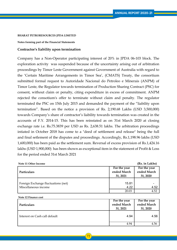**Notes forming part of the Financial Statements**

# **Contractor's liability upon termination**

Company has a Non-Operator participating interest of 20% in JPDA 06-103 block. The exploration activity was suspended because of the uncertainty arising out of arbitration proceedings by Timor Leste Government against Government of Australia with regard to the 'Certain Maritime Arrangements in Timor Sea', (CMATS) Treaty, the consortium submitted formal request to Autoridade Nacional do Petroleo e Minerais (ANPM) of Timor Leste, the Regulator towards termination of Production Sharing Contract (PSC) for consent, without claim or penalty, citing expenditure in excess of commitment. ANPM rejected the consotium's offer to terminate without claim and penalty. The regulator terminated the PSC on 15th July 2015 and demanded the payment of the "liability upon termination". Based on the notice a provision of Rs. 2,190.68 Lakhs (USD 3,500,000) towards Company's share of contractor's liability towards termination was created in the accounts of F.Y. 2014-15. This has been reinstated as on 31st March 2020 at closing exchange rate i.e. Rs.75.3839 per USD as Rs. 2,638.51 lakhs. The arbitration proceedings intiated in October 2018 has come to a "deed of settlement and release" being the full and final setlement of the disputes and proceedings. Accordingly, Rs.1,198.96 lakhs (USD 1,600,000) has been paid as the settlement sum. Reversal of excess provision of Rs.1,424.16 lakhs (USD 1,900,000) has been shown as exceptional item in the statement of Profit & Loss for the period ended 31st March 2021

| Note 11 Other Income                |                         | (Rs. in Lakhs)          |  |  |
|-------------------------------------|-------------------------|-------------------------|--|--|
|                                     | For the year            | For the year            |  |  |
| <b>Particulars</b>                  | ended March<br>31, 2021 | ended March<br>31, 2020 |  |  |
|                                     |                         |                         |  |  |
| Foreign Exchange fluctuations (net) | 15.81                   |                         |  |  |
| Miscellaneous income                | 4.22                    | 4.52                    |  |  |
|                                     | 20.03                   | 4.52                    |  |  |

| Note 12 Finance cost          |              |              |  |  |  |  |  |
|-------------------------------|--------------|--------------|--|--|--|--|--|
|                               | For the year | For the year |  |  |  |  |  |
| <b>Particulars</b>            | ended March  | ended March  |  |  |  |  |  |
|                               | 31, 2021     | 31, 2020     |  |  |  |  |  |
| Interest on Cash call default | 4.94         | 4.56         |  |  |  |  |  |
|                               | 4.94         | 4.56         |  |  |  |  |  |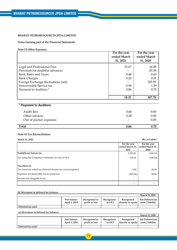# **Notes forming part of the Financial Statements**

**Note 13 Other Expenses**

|                                                                                                                                                                                                             | For the year<br>ended March<br>31, 2021 | For the year<br>ended March<br>31, 2020                  |
|-------------------------------------------------------------------------------------------------------------------------------------------------------------------------------------------------------------|-----------------------------------------|----------------------------------------------------------|
| Legal and Professional Fees<br>Provision for doubtful advances<br>Rent, Rates and Taxes<br><b>Bank Charges</b><br>Foreign Exchange fluctuations (net)<br>Irrecoverable Service tax<br>Payment to Auditors * | 15.67<br>0.48<br>0.24<br>0.96<br>0.86   | 16.08<br>83.38<br>0.63<br>0.01<br>205.59<br>1.39<br>0.70 |
|                                                                                                                                                                                                             | 18.21                                   | 307.78                                                   |
| * Payment to Auditors                                                                                                                                                                                       |                                         |                                                          |
| Audit fees                                                                                                                                                                                                  | 0.66                                    | 0.60                                                     |
| Other services<br>Out of pocket expenses                                                                                                                                                                    | 0.20                                    | 0.05<br>0.05                                             |
| Total                                                                                                                                                                                                       | 0.86                                    | 0.70                                                     |

# **Note 14 Tax Reconciliation**

**March 31, 2020 (Rs. in Lakhs)**

|                                                            | For the year<br>ended March 31,<br>2021 | For the year<br>ended March 31,<br>2020 |
|------------------------------------------------------------|-----------------------------------------|-----------------------------------------|
| Profit/(Loss) before tax                                   | 1,223.63                                | (410.16)                                |
| Tax using the Company's domestic tax rate of 26%           | 318.14                                  | (106.64)                                |
| Tax effect of:                                             |                                         |                                         |
| Tax losses for which no deferred income tax was recognised | 4.92                                    | 26.58                                   |
| Expenses not deductible for tax purposes                   | (323.06)                                | 80.06                                   |
| Income not chargeble to tax                                |                                         |                                         |
|                                                            |                                         |                                         |

# **(b) Movement in deferred tax balances**

|                    |                              |                                 |                      |                                  | <b>March 31, 2021</b>                 |
|--------------------|------------------------------|---------------------------------|----------------------|----------------------------------|---------------------------------------|
|                    | Net balance<br>April 1, 2019 | Recognised in<br>profit or loss | Recognised<br>in OCI | Recognised<br>directly in equity | Net Deferred tax<br>asset / liability |
| Deferred tax asset |                              |                                 |                      |                                  |                                       |

# **(c) Movement in deferred tax balances**

|                    |                              |                                 |                      |                                  | March 31, 2020                        |
|--------------------|------------------------------|---------------------------------|----------------------|----------------------------------|---------------------------------------|
|                    | Net balance<br>April 1, 2018 | Recognised in<br>profit or loss | Recognised<br>in OCI | Recognised<br>directly in equity | Net Deferred tax<br>asset / liability |
| Deferred tax asset |                              |                                 |                      |                                  |                                       |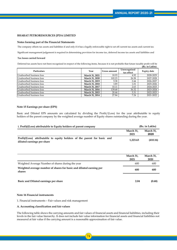#### **Notes forming part of the Financial Statements**

The company offsets tax assets and liabilities if and only if it has a legally enforceable right to set off current tax assets and current tax

Significant management judgement is required in determining provision for income tax, deferred income tax assets and liabilities and

#### **Tax losses carried forward**

Deferred tax assets have not been recognised in respect of the following items, because it is not probable that future taxable profit will be  $(\vec{p}_e, \text{in} \text{L}_e \text{leb})$ 

|                          |                |              |                            | <b>(INS. III LAKIIS)</b> |
|--------------------------|----------------|--------------|----------------------------|--------------------------|
| Particulars              | Year           | Gross amount | Unrecognised<br>tax effect | <b>Expiry date</b>       |
| Unabsorbed business loss | March 31, 2021 | 18.93        | 4.92                       | 2028-2029                |
| Unabsorbed business loss | March 31, 2020 | 102.23       | 26.58                      | 2027-2028                |
| Unabsorbed business loss | March 31, 2019 | 9.38         | 2.44                       | 2026-2027                |
| Unabsorbed business loss | March 31, 2018 | 3.89         | 1.01                       | 2025-2026                |
| Unabsorbed business loss | March 31, 2017 | 10.11        | 2.63                       | 2024-2025                |
| Unabsorbed business loss | March 31, 2016 | 139.68       | 36.32                      | 2023-2024                |
| Unabsorbed business loss | March 31, 2015 | 20.44        | 5.31                       | 2022-2023                |
| Unabsorbed business loss | March 31, 2014 | 27.84        | 7.24                       | 2021-2022                |

# **Note 15 Earnings per share (EPS)**

Basic and Diluted EPS amounts are calculated by dividing the Profit/(Loss) for the year attributable to equity holders of the parent company by the weighted average number of Equity shares outstanding during the year.

| i. Profit/(Loss) attributable to Equity holders of parent company                                      | (Rs. in Lakhs)    |                   |  |
|--------------------------------------------------------------------------------------------------------|-------------------|-------------------|--|
|                                                                                                        | March 31.<br>2021 | March 31.<br>2020 |  |
| Profit/(Loss) attributable to equity holders of the parent for basic and<br>diluted earnings per share | 1.223.63          | (410.16)          |  |

|                                                                               | March 31,<br>2021 | March 31,<br>2020 |
|-------------------------------------------------------------------------------|-------------------|-------------------|
| Weighted Average Number of shares during the year                             | 600               | 600               |
| Weighted average number of shares for basic and diluted earning per<br>shares |                   | 600               |
| Basic and Diluted earnings per share                                          | 2.04              | (0.68)            |

#### **Note 16 Financial instruments**

1. Financial instruments – Fair values and risk management

#### **A. Accounting classification and fair values**

The following table shows the carrying amounts and fair values of financial assets and financial liabilities, including their levels in the fair value hierarchy. It does not include fair value information for financial assets and financial liabilities not measured at fair value if the carrying amount is a reasonable approximation of fair value.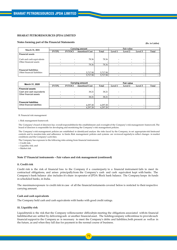#### **Notes forming part of the Financial Statements**

**(Rs. in Lakhs)**

| March 31, 2021               | Carrying amount          |                          |                       |          | Fair value |         |                          |       |
|------------------------------|--------------------------|--------------------------|-----------------------|----------|------------|---------|--------------------------|-------|
|                              | <b>FVTPL</b>             | <b>FVTOCI</b>            | <b>Amortised Cost</b> | Total    | Level 1    | Level 2 | Level 3                  | Total |
| <b>Financial assets</b>      |                          |                          |                       |          |            |         |                          |       |
|                              |                          |                          |                       |          |            |         |                          |       |
| Cash and cash equivalents    |                          |                          | 78.36                 | 78.36    |            |         |                          |       |
| Other financial assets       |                          |                          |                       |          |            |         | -                        |       |
|                              |                          |                          | 78.36                 | 78.36    |            |         |                          |       |
|                              |                          |                          |                       |          |            |         |                          |       |
| <b>Financial liabilities</b> |                          |                          |                       |          |            |         |                          |       |
| Othet financial liabilities  | $\overline{\phantom{a}}$ | $\overline{\phantom{a}}$ | 5,717.98              | 5,717.98 |            |         | $\overline{\phantom{a}}$ |       |
|                              |                          |                          | 5,717.98              | 5,717.98 |            |         |                          |       |

| March 31, 2020               | <b>Carrying amount</b> |               |                       |          | <b>Fair value</b> |         |         |       |
|------------------------------|------------------------|---------------|-----------------------|----------|-------------------|---------|---------|-------|
|                              | <b>FVTPL</b>           | <b>FVTOCI</b> | <b>Amortised Cost</b> | Total    | Level 1           | Level 2 | Level 3 | Total |
| <b>Financial assets</b>      |                        |               |                       |          |                   |         |         |       |
| Cash and cash equivalents    |                        |               | 38.21                 | 38.21    |                   |         |         |       |
| Other financial assets       |                        |               |                       |          |                   |         |         |       |
|                              |                        |               | 38.21                 | 38.21    |                   |         |         |       |
|                              |                        |               |                       |          |                   |         |         |       |
| <b>Financial liabilities</b> |                        |               |                       |          |                   |         |         |       |
| Othet financial liabilities  | -                      |               | 4.297.28              | 4,297.28 |                   |         |         |       |
|                              |                        |               | 4.297.28              | 4.297.28 |                   |         |         |       |

B. Financial risk management

i. Risk management framework

The Company's board of directors has overall responsibilityfor the establishment and oversight of the Company's risk management framework. The board of directors is responsible for developing and monitoring the Company's risk management policies.

The Company's risk management policies are established to identifyand analyse the risks faced by the Company, to set appropriate risk limitsand controls and to monitorrisks and adherence to limits.Risk management policies and systems are reviewed regularlyto reflect changes in market conditions and the Company's activities.

The Company has exposure to the following risks arising from financial instruments:

Credit risk;

Liquidity risk; and

Market risk

#### **Note 17 Financial instruments – Fair values and risk management (continued)**

#### **ii. Credit risk**

Credit risk is the risk of financial loss to the Company if a counterparty to a financial instrument fails to meet its contractual obligations, and arises principallyfrom the Company's cash and cash equivalent kept with banks. The Company's bank balance also includes it's share in operator of JPDA Block bank balance. The Company keeps its funds in scheduled banks, in India.

The maximumexposure to credit risk in case of all the financial instuments covered below is resticted to theirrespective carrying amount.

#### **Cash and cash equivalents**

The Company held cash and cash equivalents with banks with good credit ratings.

#### **iii. Liquidity risk**

Liquidityrisk is the risk that the Company willencounter difficultyin meeting the obligations associated withits financial liabilitiesthat are settled by deliveringcash or another financial asset. The holdingcompany willcontinue to providesuch financial support to the Company as is necessary to meet the Company's debts and liabilities,both present as well as in the future, as and when they fall due for payment in the normal course of business.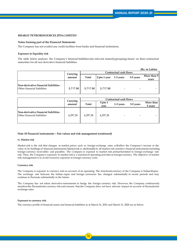#### **Notes forming part of the Financial Statements**

The Company has not availed any credit facilities from banks and financial institutions.

#### **Exposure to liquidity risk**

The table below analyses the Company's financial liabilities into relevant maturitygroupings based on their contractual maturities for all non derivative financial liabilities.

|                                                                            |          |                         |          |                          |  | (Rs. in Lakhs) |             |
|----------------------------------------------------------------------------|----------|-------------------------|----------|--------------------------|--|----------------|-------------|
|                                                                            | Carrying |                         |          | Contractual cash flows   |  |                |             |
|                                                                            | amount   |                         | Total    |                          |  | 3-5 years      | More than 5 |
|                                                                            |          | Upto $1$ year 1-3 years |          |                          |  | vears          |             |
| Non-derivative financial liabilities<br><b>Other financial liabilities</b> | 5,717.98 | 5,717.98                | 5,717.98 | $\overline{\phantom{a}}$ |  |                |             |

|                                                                     | Carrying | Contractual cash flows |                |                |                          |                      |
|---------------------------------------------------------------------|----------|------------------------|----------------|----------------|--------------------------|----------------------|
|                                                                     | amount   | Total                  | Upto 1<br>vear | 1-3 years      | 3-5 years                | More than<br>5 years |
| Non-derivative financial liabilities<br>Other financial liabilities | 4,297.28 | 4,297.28               | 4,297.28       | $\blacksquare$ | $\overline{\phantom{0}}$ |                      |

#### **Note 18 Financial instruments – Fair values and risk management (continued)**

#### **iv. Market risk**

Market risk is the risk that changes in market prices such as foreign exchange rates willaffect the Company's income or the value of its holdings of financial instruments.Marketrisk is attributable to all market risk sensitive financial instruments including foreign currency receivables and payables. The Company is exposed to market risk primarilyrelated to foreign exchange rate risk. Thus, the Company's exposure to market risk is a functionof operating activities in foreign currency. The objective of market risk management is to avoid excessive exposure in foreign currency costs.

#### **Currency risk**

The Company is exposed to currency risk on account of its operating. The functional currency of the Company is IndianRupee. The exchange rate between the Indian rupee and foreign currencies has changed substantially in recent periods and may continue to fluctuate substantially in the future.

The Company has not taken derivative instruments to hedge the foreign currency risk. However, the Company continuously monitors the fluctuationin currency risk and ensures that the Company does not have adverse impact on account of fluctuationin exchange rates.

#### **Exposure to currency risk**

The currency profile of financial assets and financial liabilities as at March 31, 2021 and March 31, 2020 are as below: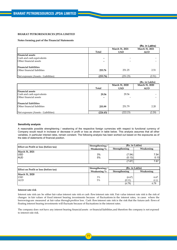#### **Notes forming part of the Financial Statements**

|                                     |                          |                | (Rs. in Lakhs) |
|-------------------------------------|--------------------------|----------------|----------------|
|                                     |                          | March 31, 2021 | March 31, 2021 |
|                                     | Total                    | <b>USD</b>     | <b>AUD</b>     |
| <b>Financial assets</b>             |                          |                |                |
| Cash and cash equivalents           | -                        | -              |                |
| Other financial assets              | $\overline{\phantom{0}}$ |                |                |
| <b>Financial liabilities</b>        |                          |                |                |
| Other financial liabilities         | 253.76                   | 251.25         | 2.51           |
| Net exposure (Assets - Liabilities) | (253.76)                 | (251.25)       | (2.51)         |

|                                     |                |                | (Rs. in Lakhs) |
|-------------------------------------|----------------|----------------|----------------|
|                                     |                | March 31, 2020 | March 31, 2020 |
|                                     | Total          | <b>USD</b>     | <b>AUD</b>     |
| <b>Financial assets</b>             |                |                |                |
| Cash and cash equivalents           | 29.56          | 29.56          |                |
| Other financial assets              | $\blacksquare$ |                |                |
| <b>Financial liabilities</b>        |                |                |                |
| Other financial liabilities         | 253.99         | 251.79         | 2.20           |
| Net exposure (Assets - Liabilities) | (224.43)       | (222.23)       | (2.20)         |

#### **Sensitivity analysis**

A reasonable possible strenghtening / weakening of the respective foreign currencies with respect to functional currency of Company would result in increase or decrease in profit or loss as shown in table below. This analysis assumes that all other variables, in particular interest rates, remain constant. The following analysis has been worked out based on the exposures as of the date of statements of financial position.

| <b>Effect on Profit or loss (before tax)</b> | Strengthening/ | (Rs. in Lakhs) |           |
|----------------------------------------------|----------------|----------------|-----------|
|                                              | Weakening $\%$ | Strengthening  | Weakening |
| March 31, 2021                               |                |                |           |
| <b>USD</b>                                   | 3%             | (7.54)         | 7.54 I    |
| <b>AUD</b>                                   | 5%             | (0.13)         | 0.13      |
|                                              |                | (7.67)         | 7.67      |

| <b>Effect on Profit or loss (before tax)</b> | Strengthening/ | (Rs. in Lakhs) |           |  |
|----------------------------------------------|----------------|----------------|-----------|--|
|                                              | Weakening $\%$ | Strengthening  | Weakening |  |
| March 31, 2020                               |                |                |           |  |
| <b>USD</b>                                   | 3%             | (6.67)         | 6.67      |  |
| <b>AUD</b>                                   | 5%             | (0.11)         |           |  |
|                                              |                | (6.78)         | 6.78      |  |

#### **Interest rate risk**

Interest rate risk can be either fair value interest rate risk or cash flowinterest rate risk. Fair value interest rate risk is the risk of changes in fair values of fixed interest bearing investments because of fluctuations in the interest rates, in cases where the borrowings are measured at fair value through profitor loss. Cash flow interest rate risk is the risk that the future cash flows of floating interest bearing investments will fluctuate because of fluctuations in the interest rates.

The company does not have any interest bearing financial assets or financial liabilities,and therefore the company is not exposed to interest rate risk.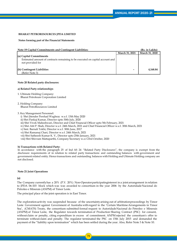## **Notes forming part of the Financial Statements**

#### **Note 19 Capital Commitments and Contingent Liabilities: (Rs. in Lakhs)**

|                                                                                                   | March 31, 2021 | March 31, 2020 |
|---------------------------------------------------------------------------------------------------|----------------|----------------|
| (a) Capital Commitments                                                                           |                |                |
| Estimated amount of contracts remaining to be executed on capital account and<br>not provided for |                |                |
| (b) Contingent Liabilities<br>(Refer Note 3)                                                      | -              | 4,168.84       |

#### **Note 20 Related party disclosures:**

#### **a) Related Party relationships**

- 1. Ultimate Holding Company: Bharat Petroleum Corporation Limited
- 2. Holding Company: Bharat PetroResources Limited
- 3. Key Management Personnel:
	- i) Shri Jitender Pershad Waghray w.e.f. 13th May 2020
	- ii) Shri Pankaj Kumar, Director upto 30th July, 2020
	- iii) Shri Vivek Maheshwari, Director and Chief Financial Officer upto 5th February, 2021
	- iv) Shri Atit P. Shah, Director w.e.f. 24th March, 2021 and Chief Financial Officer w.e.f. 30th March, 2021
	- v) Smt. Barnali Tokhi, Director w.e.f. 30th June, 2017
	- vi) Shri Ramanuj Chari, Director w.e.f. 24th March, 2021
	- vii) Shri Satheesh Kumar K. V., Director upto 25th January, 2021
	- viii) Shri Shivram Mattaparthi, Company Secretary w.e.f 23rd October, 2020

#### **b) Transactions with Related Party:**

In accordance with the paragraph 25 of Ind AS 24 "Related Party Disclosures", the company is exempt from the disclosure requirements of in relation to related party transactions and outstanding balances with government and governmentrelated entity. Hence transactions and outstanding balances with Holding and Ultimate Holding company are not disclosed.

#### **Note 21 Joint Operations**

### **(a)**

The Company currentlyhas a 20% (P.Y. 20%) Non-Operatorparticipatinginterest in a joint arrangement in relation to JPDA 06-103 block which was was awarded to consortium in the year 2006 by the Autoridade Nacional do Petroleo e Minerais (ANPM) of Timor Leste.

The principal place of the joint operation is in East Timor.

The explorationactivity was suspended because of the uncertaintyarising out of arbitrationproceedings by Timor Leste Government against Government of Australia with regard to the 'Certain MaritimeArrangements in Timor Sea', (CMATS) Treaty, the consortium submitted formal request to Autoridade Nacional do Petroleo e Minerais (ANPM) of Timor Leste, the Regulator towards termination of Production Sharing Contract (PSC) for consent, without claim or penalty, citing expenditure in excess of commitment. ANPM rejected the consotium's offer to terminate without claim and penalty. The regulator terminated the PSC on 15th July 2015 and demanded the payment of the "liability upon termination" which has been settled during the year. Also, Refer Note 3 & Note 10.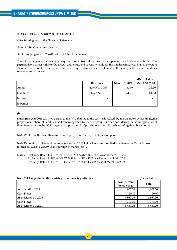#### **Notes forming part of the Financial Statements**

#### **Note 21 Joint Operations (***Contd.***)**

Significant judgement: Classification of Joint Arrangement

The joint arrangement agreements require consent from all parties by the operator for all relevant activities. The partners have direct rights to the assets and jointlyand severally liable for the liabilitiesincurred. This is therefore classified as a joint operation and the Company recognises its direct right to the jointly held assets, liabilities, revenues and expenses.

|                 |                  |                | (Rs. in Lakhs) |
|-----------------|------------------|----------------|----------------|
|                 | Reference        | March 31, 2021 | March 31, 2020 |
| Assets          | Note No. $4 & 5$ | 30.49          | 29.56          |
| Liabilities     | Note No. 8       | 151.63         | 81.13          |
| Income          | $\qquad \qquad$  | $\blacksquare$ |                |
| <b>Expenses</b> |                  | $\,$           |                |

**(b)**

Duringthe year 2019-20, two parties to the JV defaulted to the cash call seeked by the Operator. Accordingly,the proportionateshare of laibilitieshas been recognised by the Company. Further, considering the liquiditypositionof these two parties to the JV, Company had provided for "provision for doubtful advances" against this amount.

**Note 22** During the year, there were no employees on the payroll of the Company.

**Note 23** Foreign Exchange differences (net) of Rs.15.81 Lakhs have been credited to statement of Profit & Loss. (March 31, 2020: Rs.205.59 Lakhs [foreign exchange loss]).

**Note 24** Exchange Rate - 1 USD = INR 73.5047 & 1 AUD = INR 55.7023 as at March 31, 2021 Exchange Rate - 1 USD = INR 75.3859 & 1 AUD = INR 46.63 as at March 31, 2020 Exchange Rate - 1 USD = INR 69.1713 & 1 AUD = INR 48.95 as at March 31, 2019

| Note 25 Changes in liabilities arising from financing activities |                           | (Rs. in Lakhs) |
|------------------------------------------------------------------|---------------------------|----------------|
|                                                                  | Non-current<br>borrowings | <b>Total</b>   |
| As at April 1, 2019                                              | 4,007.20                  | 4,007.20       |
| Cash Flows                                                       | 50.00                     | 50.00          |
| As at March 31, 2020                                             | 4,057.20                  | 4,057.20       |
| Cash Flows                                                       | 1,397.00                  | 1,397.00       |
| As at March 31, 2021                                             | 5,454.20                  | 5,454.20       |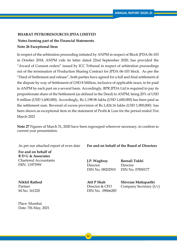# **Notes forming part of the Financial Statements Note 26 Exceptional Item**

In respect of the arbitration proceeding initiated by ANPM in respect of Block JPDA 06-103 in October 2018, ANPM vide its letter dated 22nd September 2020, has provided the "Award of Consent orders" issued by ICC Tribunal in respect of arbitration proceedings out of the termination of Production Sharing Contract for JPDA 06-103 block. As per the "Deed of Settlement and release", both parties have agreed for a full and final settlement of the dispute by way of Settlement of USD 8 Million, inclusive of applicable taxes, to be paid to ANPM by each part on a several basis. Accordingly, BPR JPDA Ltd is required to pay its proportionate share of the Settlement (as defined in the Deed) to ANPM, being 20% of USD 8 million (USD 1,600,000). Accordingly, Rs.1,198.96 lakhs (USD 1,600,000) has been paid as the settlement sum. Reversal of excess provision of Rs.1,424.16 lakhs (USD 1,900,000) has been shown as exceptional item in the statement of Profit & Loss for the period ended 31st March 2021

**Note 27** Figures of March 31, 2020 have been regrouped wherever necessary, to confirm to current year presentation.

**For and on behalf of B D G & Associates** Chartered Accountants FRN. 119739W

**Nikhil Rathod** Partner M.No. 161220

Place: Mumbai Date: 7th May, 2021

As per our attached report of even date **For and on behalf of the Board of Directors**

**J.P. Waghray** Director DIN No. 08202910

**Barnali Tokhi** Director DIN No. 07850177

**Atit P Shah** Director & CFO DIN No. 09066285 **Shivram Mattaparthi** Company Secretary (I/c)